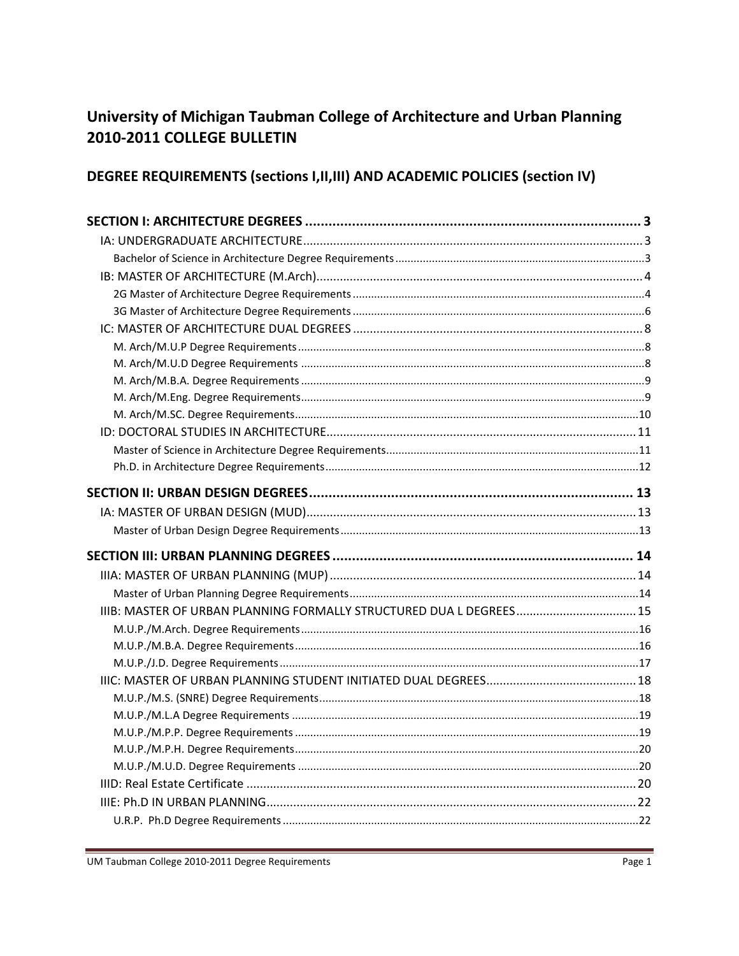# University of Michigan Taubman College of Architecture and Urban Planning 2010-2011 COLLEGE BULLETIN

# DEGREE REQUIREMENTS (sections I, II, III) AND ACADEMIC POLICIES (section IV)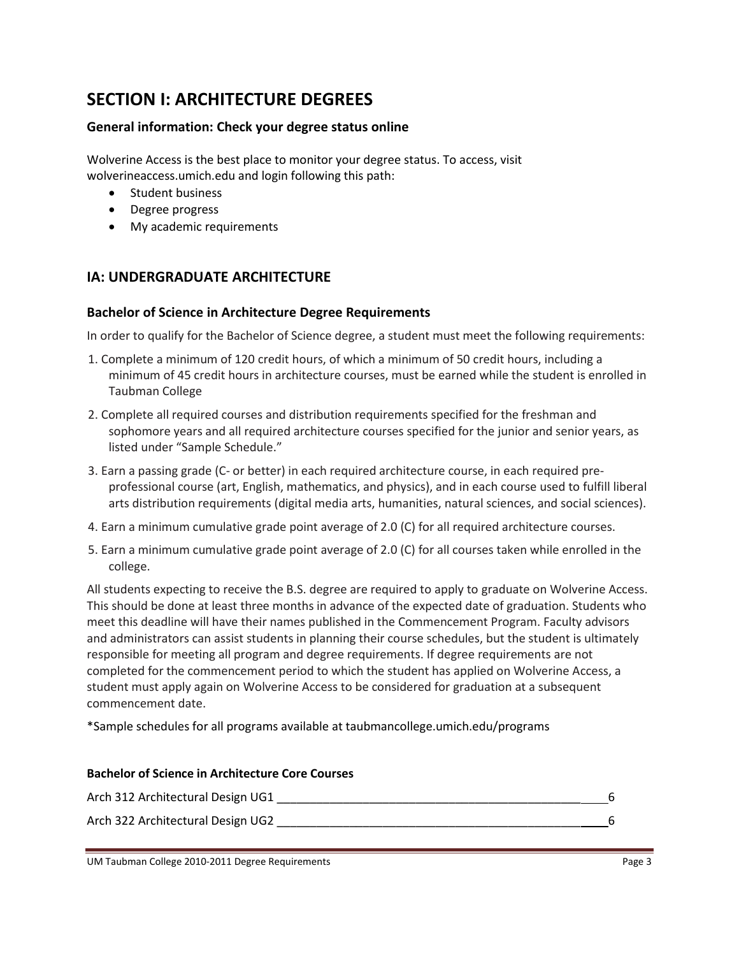# **SECTION I: ARCHITECTURE DEGREES**

## **General information: Check your degree status online**

Wolverine Access is the best place to monitor your degree status. To access, visit wolverineaccess.umich.edu and login following this path:

- Student business
- Degree progress
- My academic requirements

# **IA: UNDERGRADUATE ARCHITECTURE**

#### **Bachelor of Science in Architecture Degree Requirements**

In order to qualify for the Bachelor of Science degree, a student must meet the following requirements:

- 1. Complete a minimum of 120 credit hours, of which a minimum of 50 credit hours, including a minimum of 45 credit hours in architecture courses, must be earned while the student is enrolled in Taubman College
- 2. Complete all required courses and distribution requirements specified for the freshman and sophomore years and all required architecture courses specified for the junior and senior years, as listed under "Sample Schedule."
- 3. Earn a passing grade (C- or better) in each required architecture course, in each required preprofessional course (art, English, mathematics, and physics), and in each course used to fulfill liberal arts distribution requirements (digital media arts, humanities, natural sciences, and social sciences).
- 4. Earn a minimum cumulative grade point average of 2.0 (C) for all required architecture courses.
- 5. Earn a minimum cumulative grade point average of 2.0 (C) for all courses taken while enrolled in the college.

All students expecting to receive the B.S. degree are required to apply to graduate on Wolverine Access. This should be done at least three months in advance of the expected date of graduation. Students who meet this deadline will have their names published in the Commencement Program. Faculty advisors and administrators can assist students in planning their course schedules, but the student is ultimately responsible for meeting all program and degree requirements. If degree requirements are not completed for the commencement period to which the student has applied on Wolverine Access, a student must apply again on Wolverine Access to be considered for graduation at a subsequent commencement date.

\*Sample schedules for all programs available at taubmancollege.umich.edu/programs

# **Bachelor of Science in Architecture Core Courses** Arch 312 Architectural Design UG1 \_\_\_\_\_\_\_\_\_\_\_\_\_\_\_\_\_\_\_\_\_\_\_\_\_\_\_\_\_\_\_\_\_\_\_\_\_\_\_\_\_\_\_\_\_\_ 6 Arch 322 Architectural Design UG2 \_\_\_\_\_\_\_\_\_\_\_\_\_\_\_\_\_\_\_\_\_\_\_\_\_\_\_\_\_\_\_\_\_\_\_\_\_\_\_\_\_\_\_\_\_\_ 6

#### UM Taubman College 2010-2011 Degree Requirements **Page 3** and Page 3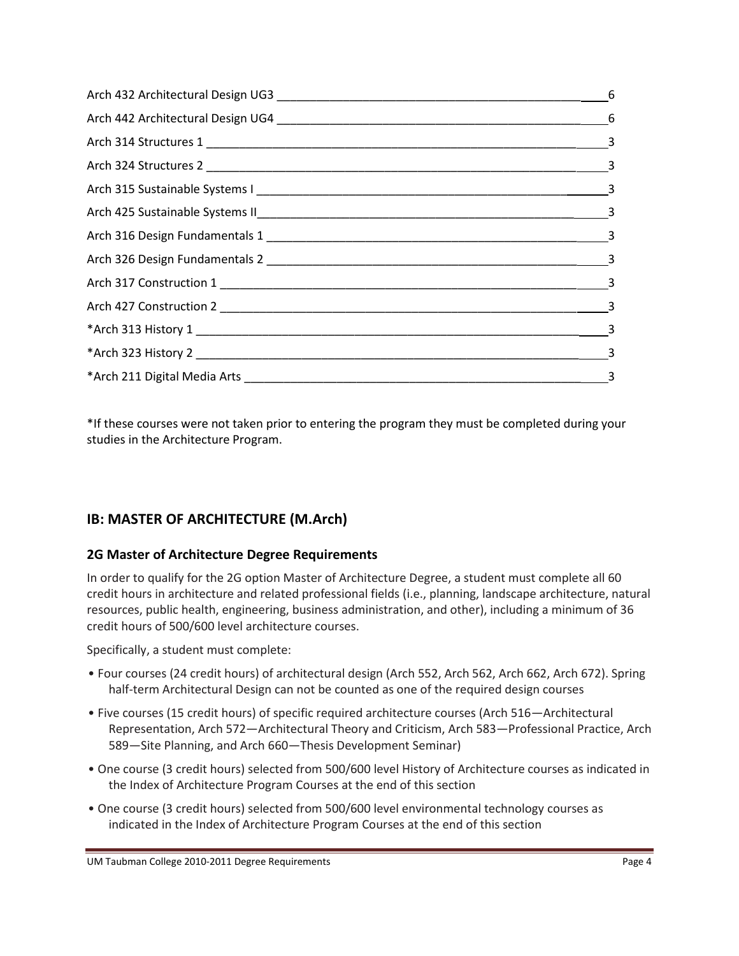| $\frac{3}{2}$ |
|---------------|

\*If these courses were not taken prior to entering the program they must be completed during your studies in the Architecture Program.

# **IB: MASTER OF ARCHITECTURE (M.Arch)**

## **2G Master of Architecture Degree Requirements**

In order to qualify for the 2G option Master of Architecture Degree, a student must complete all 60 credit hours in architecture and related professional fields (i.e., planning, landscape architecture, natural resources, public health, engineering, business administration, and other), including a minimum of 36 credit hours of 500/600 level architecture courses.

Specifically, a student must complete:

- Four courses (24 credit hours) of architectural design (Arch 552, Arch 562, Arch 662, Arch 672). Spring half-term Architectural Design can not be counted as one of the required design courses
- Five courses (15 credit hours) of specific required architecture courses (Arch 516—Architectural Representation, Arch 572—Architectural Theory and Criticism, Arch 583—Professional Practice, Arch 589—Site Planning, and Arch 660—Thesis Development Seminar)
- One course (3 credit hours) selected from 500/600 level History of Architecture courses as indicated in the Index of Architecture Program Courses at the end of this section
- One course (3 credit hours) selected from 500/600 level environmental technology courses as indicated in the Index of Architecture Program Courses at the end of this section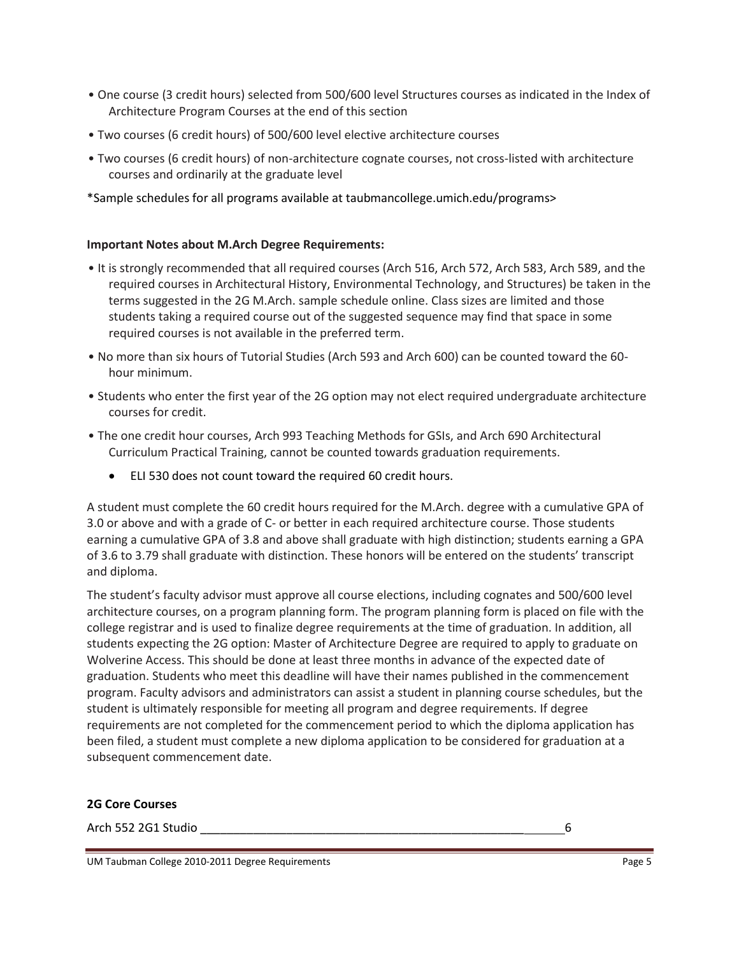- One course (3 credit hours) selected from 500/600 level Structures courses as indicated in the Index of Architecture Program Courses at the end of this section
- Two courses (6 credit hours) of 500/600 level elective architecture courses
- Two courses (6 credit hours) of non-architecture cognate courses, not cross-listed with architecture courses and ordinarily at the graduate level
- \*Sample schedules for all programs available at taubmancollege.umich.edu/programs>

#### **Important Notes about M.Arch Degree Requirements:**

- It is strongly recommended that all required courses (Arch 516, Arch 572, Arch 583, Arch 589, and the required courses in Architectural History, Environmental Technology, and Structures) be taken in the terms suggested in the 2G M.Arch. sample schedule online. Class sizes are limited and those students taking a required course out of the suggested sequence may find that space in some required courses is not available in the preferred term.
- No more than six hours of Tutorial Studies (Arch 593 and Arch 600) can be counted toward the 60 hour minimum.
- Students who enter the first year of the 2G option may not elect required undergraduate architecture courses for credit.
- The one credit hour courses, Arch 993 Teaching Methods for GSIs, and Arch 690 Architectural Curriculum Practical Training, cannot be counted towards graduation requirements.
	- ELI 530 does not count toward the required 60 credit hours.

A student must complete the 60 credit hours required for the M.Arch. degree with a cumulative GPA of 3.0 or above and with a grade of C- or better in each required architecture course. Those students earning a cumulative GPA of 3.8 and above shall graduate with high distinction; students earning a GPA of 3.6 to 3.79 shall graduate with distinction. These honors will be entered on the students' transcript and diploma.

The student's faculty advisor must approve all course elections, including cognates and 500/600 level architecture courses, on a program planning form. The program planning form is placed on file with the college registrar and is used to finalize degree requirements at the time of graduation. In addition, all students expecting the 2G option: Master of Architecture Degree are required to apply to graduate on Wolverine Access. This should be done at least three months in advance of the expected date of graduation. Students who meet this deadline will have their names published in the commencement program. Faculty advisors and administrators can assist a student in planning course schedules, but the student is ultimately responsible for meeting all program and degree requirements. If degree requirements are not completed for the commencement period to which the diploma application has been filed, a student must complete a new diploma application to be considered for graduation at a subsequent commencement date.

#### **2G Core Courses**

Arch 552 2G1 Studio 2014 - 2021 - 2022 2G1 Studio 2022 2G1 Studio 2022 2G1 Studio 2022 2G1 Studio 2022 2G1 Stu

UM Taubman College 2010-2011 Degree Requirements **Page 5** and College 3 and College 5 and College 5 and Page 5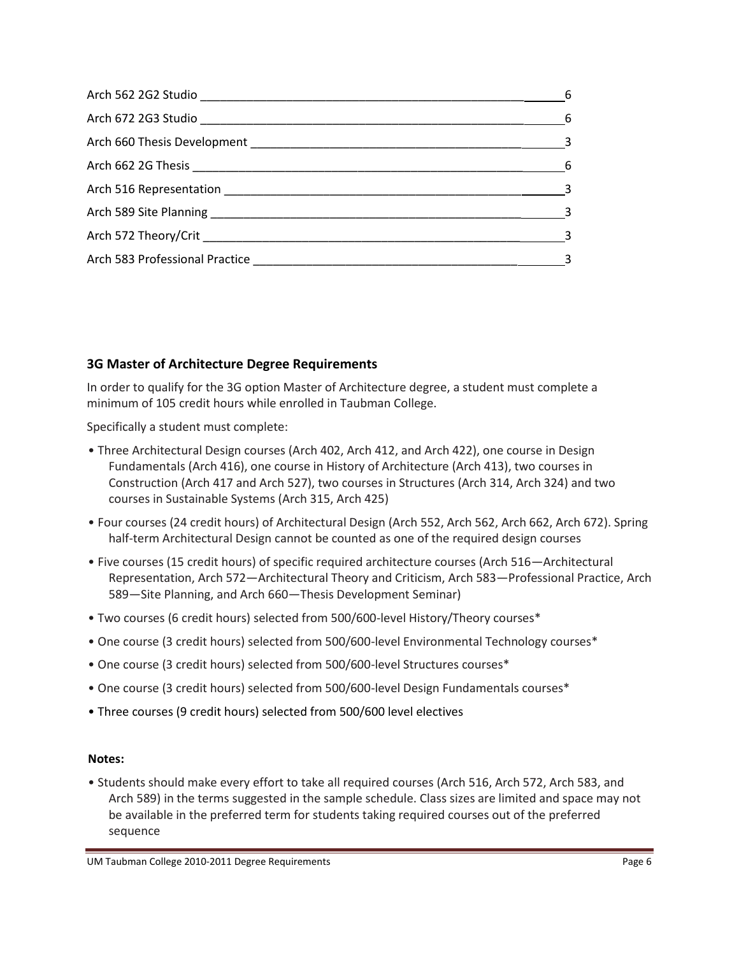|                                                                                                                                                                                                                                | $6\overline{6}$ |
|--------------------------------------------------------------------------------------------------------------------------------------------------------------------------------------------------------------------------------|-----------------|
|                                                                                                                                                                                                                                |                 |
|                                                                                                                                                                                                                                |                 |
|                                                                                                                                                                                                                                |                 |
|                                                                                                                                                                                                                                | $\sim$ 3        |
| Arch 589 Site Planning 2008 and 2009 and 2009 and 2009 and 2009 and 2009 and 2009 and 2009 and 2009 and 2009 and 2009 and 2009 and 2009 and 2009 and 2009 and 2009 and 2009 and 2009 and 2009 and 2009 and 2009 and 2009 and 2 |                 |
|                                                                                                                                                                                                                                | $\sim$ 3        |
|                                                                                                                                                                                                                                |                 |

# **3G Master of Architecture Degree Requirements**

In order to qualify for the 3G option Master of Architecture degree, a student must complete a minimum of 105 credit hours while enrolled in Taubman College.

Specifically a student must complete:

- Three Architectural Design courses (Arch 402, Arch 412, and Arch 422), one course in Design Fundamentals (Arch 416), one course in History of Architecture (Arch 413), two courses in Construction (Arch 417 and Arch 527), two courses in Structures (Arch 314, Arch 324) and two courses in Sustainable Systems (Arch 315, Arch 425)
- Four courses (24 credit hours) of Architectural Design (Arch 552, Arch 562, Arch 662, Arch 672). Spring half-term Architectural Design cannot be counted as one of the required design courses
- Five courses (15 credit hours) of specific required architecture courses (Arch 516—Architectural Representation, Arch 572—Architectural Theory and Criticism, Arch 583—Professional Practice, Arch 589—Site Planning, and Arch 660—Thesis Development Seminar)
- Two courses (6 credit hours) selected from 500/600-level History/Theory courses\*
- One course (3 credit hours) selected from 500/600-level Environmental Technology courses\*
- One course (3 credit hours) selected from 500/600-level Structures courses\*
- One course (3 credit hours) selected from 500/600-level Design Fundamentals courses\*
- Three courses (9 credit hours) selected from 500/600 level electives

#### **Notes:**

• Students should make every effort to take all required courses (Arch 516, Arch 572, Arch 583, and Arch 589) in the terms suggested in the sample schedule. Class sizes are limited and space may not be available in the preferred term for students taking required courses out of the preferred sequence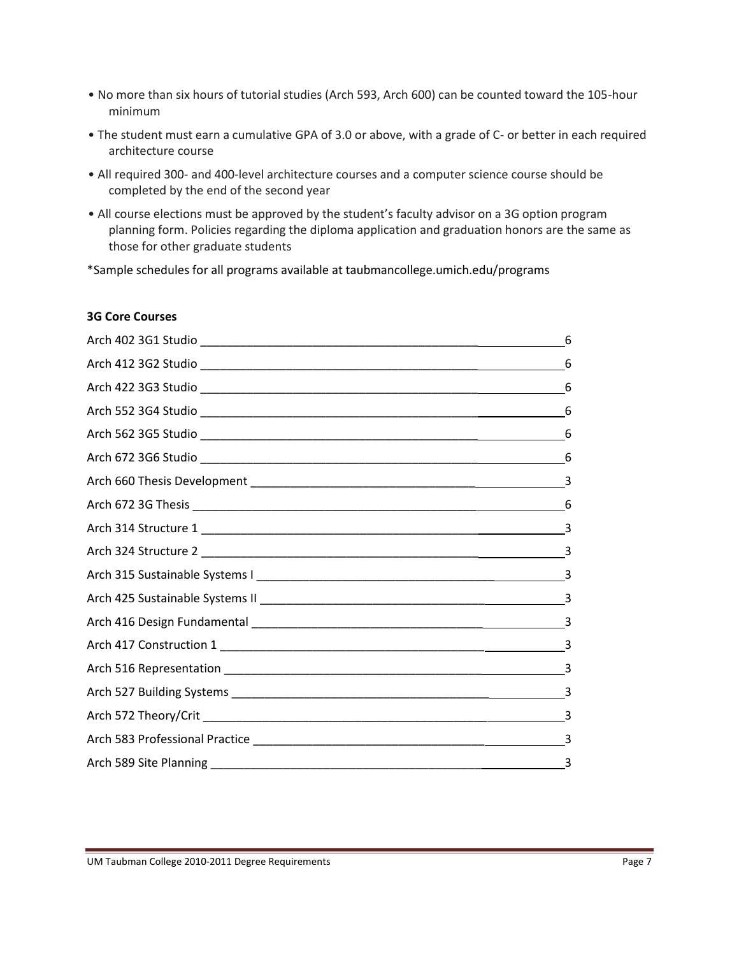- No more than six hours of tutorial studies (Arch 593, Arch 600) can be counted toward the 105-hour minimum
- The student must earn a cumulative GPA of 3.0 or above, with a grade of C- or better in each required architecture course
- All required 300- and 400-level architecture courses and a computer science course should be completed by the end of the second year
- All course elections must be approved by the student's faculty advisor on a 3G option program planning form. Policies regarding the diploma application and graduation honors are the same as those for other graduate students

\*Sample schedules for all programs available at taubmancollege.umich.edu/programs

#### **3G Core Courses**

| 6  |
|----|
| 6  |
| 6  |
| 6  |
| 6  |
|    |
|    |
| 6  |
|    |
|    |
|    |
|    |
|    |
|    |
|    |
|    |
|    |
|    |
| -3 |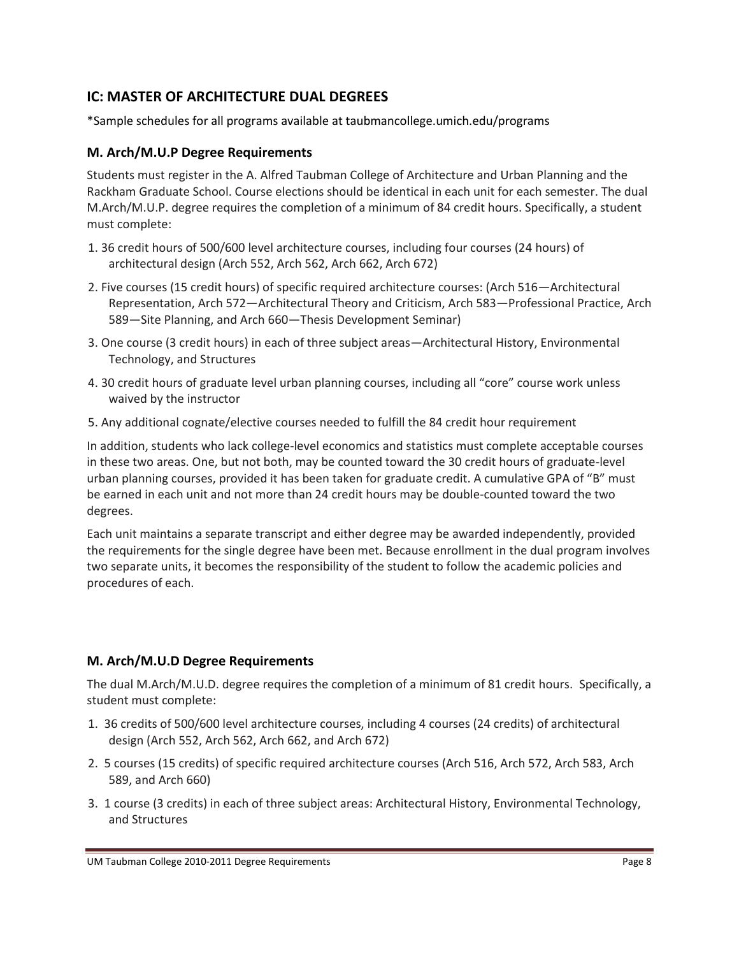# **IC: MASTER OF ARCHITECTURE DUAL DEGREES**

\*Sample schedules for all programs available at taubmancollege.umich.edu/programs

# **M. Arch/M.U.P Degree Requirements**

Students must register in the A. Alfred Taubman College of Architecture and Urban Planning and the Rackham Graduate School. Course elections should be identical in each unit for each semester. The dual M.Arch/M.U.P. degree requires the completion of a minimum of 84 credit hours. Specifically, a student must complete:

- 1. 36 credit hours of 500/600 level architecture courses, including four courses (24 hours) of architectural design (Arch 552, Arch 562, Arch 662, Arch 672)
- 2. Five courses (15 credit hours) of specific required architecture courses: (Arch 516—Architectural Representation, Arch 572—Architectural Theory and Criticism, Arch 583—Professional Practice, Arch 589—Site Planning, and Arch 660—Thesis Development Seminar)
- 3. One course (3 credit hours) in each of three subject areas—Architectural History, Environmental Technology, and Structures
- 4. 30 credit hours of graduate level urban planning courses, including all "core" course work unless waived by the instructor
- 5. Any additional cognate/elective courses needed to fulfill the 84 credit hour requirement

In addition, students who lack college-level economics and statistics must complete acceptable courses in these two areas. One, but not both, may be counted toward the 30 credit hours of graduate-level urban planning courses, provided it has been taken for graduate credit. A cumulative GPA of "B" must be earned in each unit and not more than 24 credit hours may be double-counted toward the two degrees.

Each unit maintains a separate transcript and either degree may be awarded independently, provided the requirements for the single degree have been met. Because enrollment in the dual program involves two separate units, it becomes the responsibility of the student to follow the academic policies and procedures of each.

# **M. Arch/M.U.D Degree Requirements**

The dual M.Arch/M.U.D. degree requires the completion of a minimum of 81 credit hours. Specifically, a student must complete:

- 1. 36 credits of 500/600 level architecture courses, including 4 courses (24 credits) of architectural design (Arch 552, Arch 562, Arch 662, and Arch 672)
- 2. 5 courses (15 credits) of specific required architecture courses (Arch 516, Arch 572, Arch 583, Arch 589, and Arch 660)
- 3. 1 course (3 credits) in each of three subject areas: Architectural History, Environmental Technology, and Structures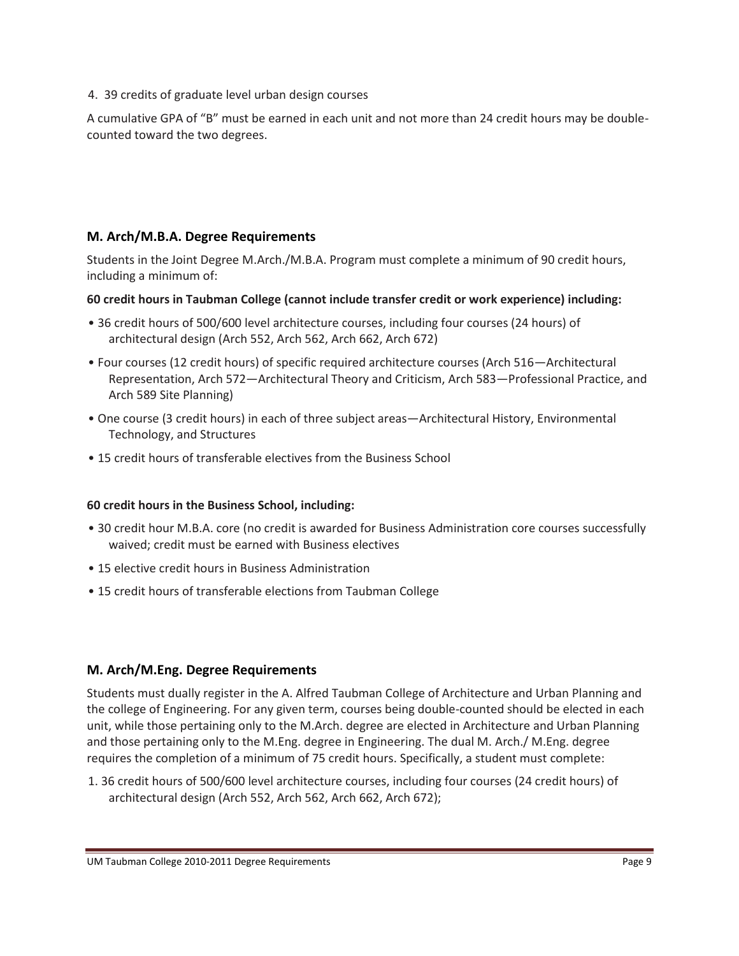4. 39 credits of graduate level urban design courses

A cumulative GPA of "B" must be earned in each unit and not more than 24 credit hours may be doublecounted toward the two degrees.

# **M. Arch/M.B.A. Degree Requirements**

Students in the Joint Degree M.Arch./M.B.A. Program must complete a minimum of 90 credit hours, including a minimum of:

#### **60 credit hours in Taubman College (cannot include transfer credit or work experience) including:**

- 36 credit hours of 500/600 level architecture courses, including four courses (24 hours) of architectural design (Arch 552, Arch 562, Arch 662, Arch 672)
- Four courses (12 credit hours) of specific required architecture courses (Arch 516—Architectural Representation, Arch 572—Architectural Theory and Criticism, Arch 583—Professional Practice, and Arch 589 Site Planning)
- One course (3 credit hours) in each of three subject areas—Architectural History, Environmental Technology, and Structures
- 15 credit hours of transferable electives from the Business School

## **60 credit hours in the Business School, including:**

- 30 credit hour M.B.A. core (no credit is awarded for Business Administration core courses successfully waived; credit must be earned with Business electives
- 15 elective credit hours in Business Administration
- 15 credit hours of transferable elections from Taubman College

## **M. Arch/M.Eng. Degree Requirements**

Students must dually register in the A. Alfred Taubman College of Architecture and Urban Planning and the college of Engineering. For any given term, courses being double-counted should be elected in each unit, while those pertaining only to the M.Arch. degree are elected in Architecture and Urban Planning and those pertaining only to the M.Eng. degree in Engineering. The dual M. Arch./ M.Eng. degree requires the completion of a minimum of 75 credit hours. Specifically, a student must complete:

1. 36 credit hours of 500/600 level architecture courses, including four courses (24 credit hours) of architectural design (Arch 552, Arch 562, Arch 662, Arch 672);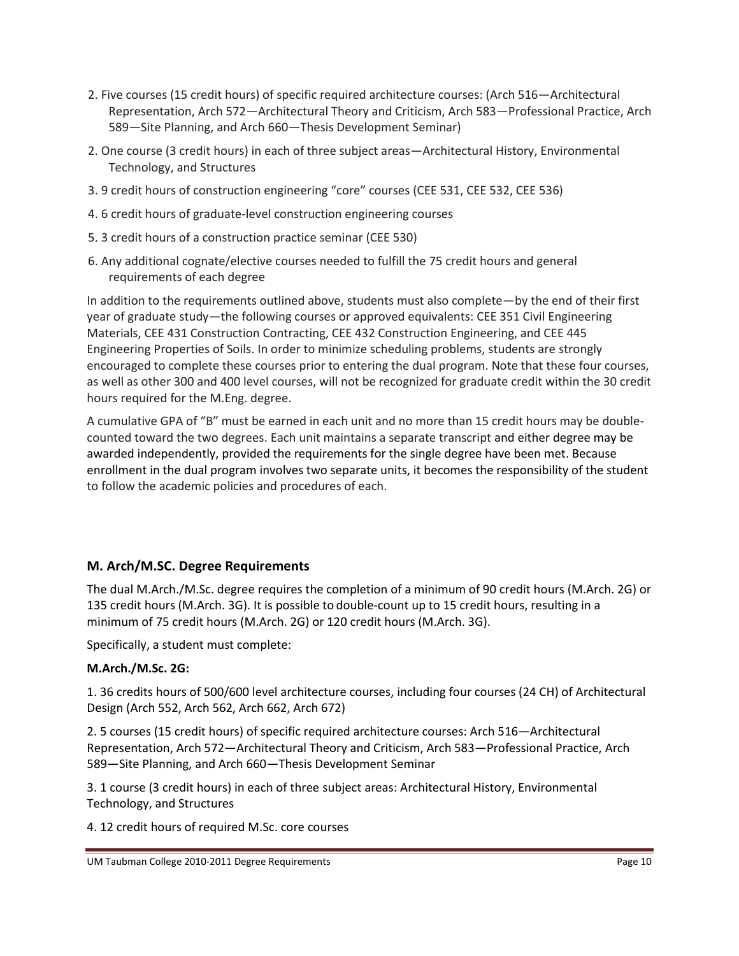- 2. Five courses (15 credit hours) of specific required architecture courses: (Arch 516—Architectural Representation, Arch 572—Architectural Theory and Criticism, Arch 583—Professional Practice, Arch 589—Site Planning, and Arch 660—Thesis Development Seminar)
- 2. One course (3 credit hours) in each of three subject areas—Architectural History, Environmental Technology, and Structures
- 3. 9 credit hours of construction engineering "core" courses (CEE 531, CEE 532, CEE 536)
- 4. 6 credit hours of graduate-level construction engineering courses
- 5. 3 credit hours of a construction practice seminar (CEE 530)
- 6. Any additional cognate/elective courses needed to fulfill the 75 credit hours and general requirements of each degree

In addition to the requirements outlined above, students must also complete—by the end of their first year of graduate study—the following courses or approved equivalents: CEE 351 Civil Engineering Materials, CEE 431 Construction Contracting, CEE 432 Construction Engineering, and CEE 445 Engineering Properties of Soils. In order to minimize scheduling problems, students are strongly encouraged to complete these courses prior to entering the dual program. Note that these four courses, as well as other 300 and 400 level courses, will not be recognized for graduate credit within the 30 credit hours required for the M.Eng. degree.

A cumulative GPA of "B" must be earned in each unit and no more than 15 credit hours may be doublecounted toward the two degrees. Each unit maintains a separate transcript and either degree may be awarded independently, provided the requirements for the single degree have been met. Because enrollment in the dual program involves two separate units, it becomes the responsibility of the student to follow the academic policies and procedures of each.

## **M. Arch/M.SC. Degree Requirements**

The dual M.Arch./M.Sc. degree requires the completion of a minimum of 90 credit hours (M.Arch. 2G) or 135 credit hours (M.Arch. 3G). It is possible to double-count up to 15 credit hours, resulting in a minimum of 75 credit hours (M.Arch. 2G) or 120 credit hours (M.Arch. 3G).

Specifically, a student must complete:

## **M.Arch./M.Sc. 2G:**

1. 36 credits hours of 500/600 level architecture courses, including four courses (24 CH) of Architectural Design (Arch 552, Arch 562, Arch 662, Arch 672)

2. 5 courses (15 credit hours) of specific required architecture courses: Arch 516—Architectural Representation, Arch 572—Architectural Theory and Criticism, Arch 583—Professional Practice, Arch 589—Site Planning, and Arch 660—Thesis Development Seminar

3. 1 course (3 credit hours) in each of three subject areas: Architectural History, Environmental Technology, and Structures

4. 12 credit hours of required M.Sc. core courses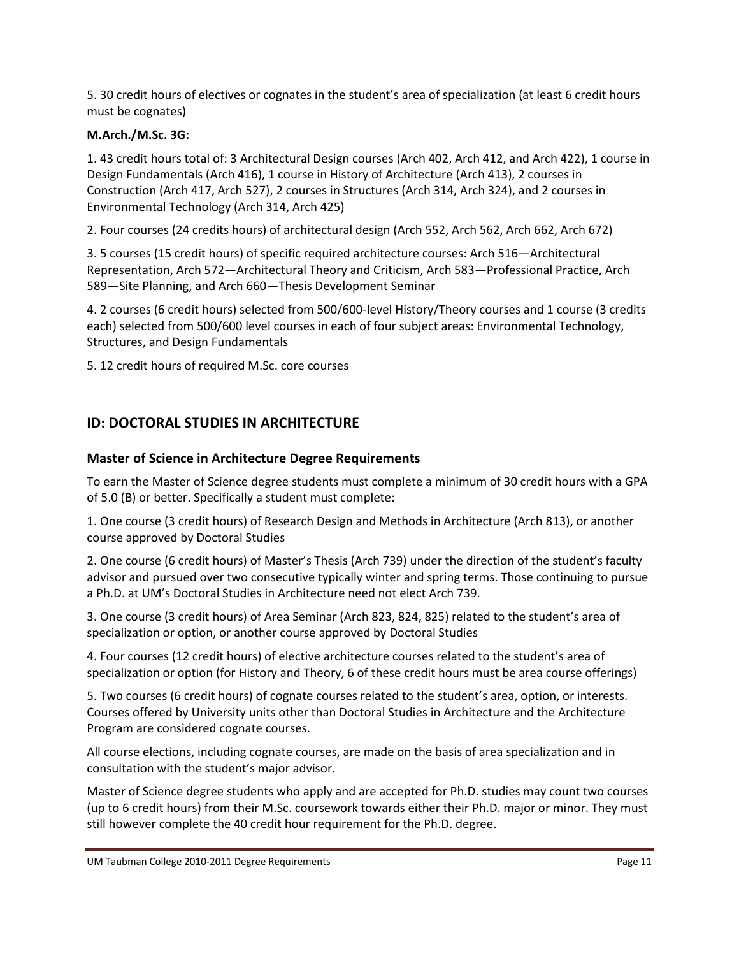5. 30 credit hours of electives or cognates in the student's area of specialization (at least 6 credit hours must be cognates)

#### **M.Arch./M.Sc. 3G:**

1. 43 credit hours total of: 3 Architectural Design courses (Arch 402, Arch 412, and Arch 422), 1 course in Design Fundamentals (Arch 416), 1 course in History of Architecture (Arch 413), 2 courses in Construction (Arch 417, Arch 527), 2 courses in Structures (Arch 314, Arch 324), and 2 courses in Environmental Technology (Arch 314, Arch 425)

2. Four courses (24 credits hours) of architectural design (Arch 552, Arch 562, Arch 662, Arch 672)

3. 5 courses (15 credit hours) of specific required architecture courses: Arch 516—Architectural Representation, Arch 572—Architectural Theory and Criticism, Arch 583—Professional Practice, Arch 589—Site Planning, and Arch 660—Thesis Development Seminar

4. 2 courses (6 credit hours) selected from 500/600-level History/Theory courses and 1 course (3 credits each) selected from 500/600 level courses in each of four subject areas: Environmental Technology, Structures, and Design Fundamentals

5. 12 credit hours of required M.Sc. core courses

# **ID: DOCTORAL STUDIES IN ARCHITECTURE**

## **Master of Science in Architecture Degree Requirements**

To earn the Master of Science degree students must complete a minimum of 30 credit hours with a GPA of 5.0 (B) or better. Specifically a student must complete:

1. One course (3 credit hours) of Research Design and Methods in Architecture (Arch 813), or another course approved by Doctoral Studies

2. One course (6 credit hours) of Master's Thesis (Arch 739) under the direction of the student's faculty advisor and pursued over two consecutive typically winter and spring terms. Those continuing to pursue a Ph.D. at UM's Doctoral Studies in Architecture need not elect Arch 739.

3. One course (3 credit hours) of Area Seminar (Arch 823, 824, 825) related to the student's area of specialization or option, or another course approved by Doctoral Studies

4. Four courses (12 credit hours) of elective architecture courses related to the student's area of specialization or option (for History and Theory, 6 of these credit hours must be area course offerings)

5. Two courses (6 credit hours) of cognate courses related to the student's area, option, or interests. Courses offered by University units other than Doctoral Studies in Architecture and the Architecture Program are considered cognate courses.

All course elections, including cognate courses, are made on the basis of area specialization and in consultation with the student's major advisor.

Master of Science degree students who apply and are accepted for Ph.D. studies may count two courses (up to 6 credit hours) from their M.Sc. coursework towards either their Ph.D. major or minor. They must still however complete the 40 credit hour requirement for the Ph.D. degree.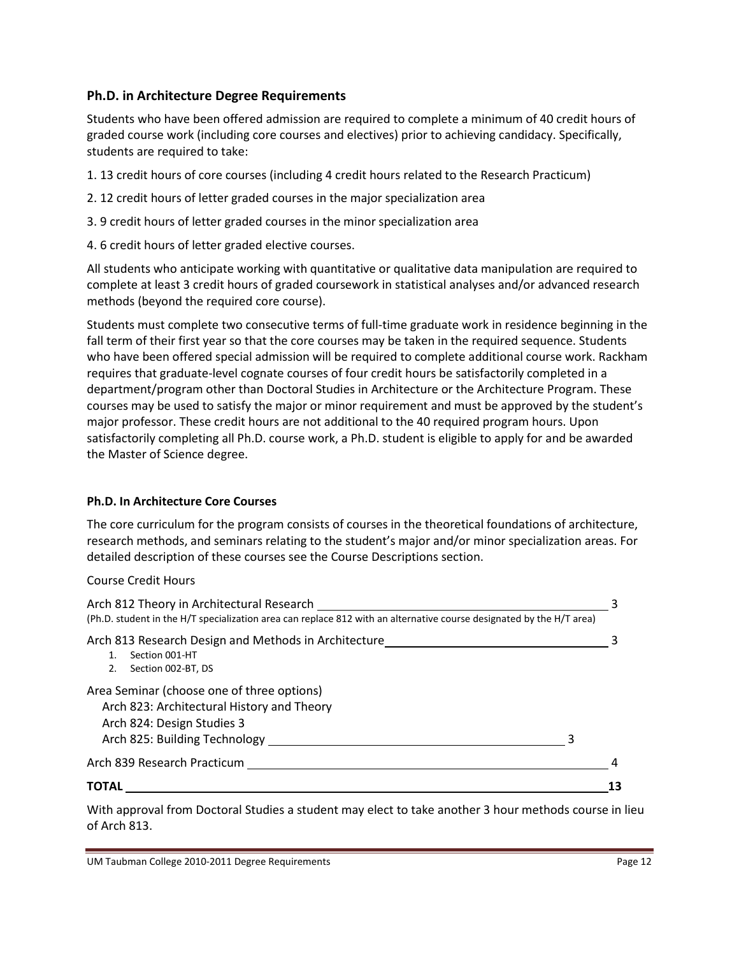## **Ph.D. in Architecture Degree Requirements**

Students who have been offered admission are required to complete a minimum of 40 credit hours of graded course work (including core courses and electives) prior to achieving candidacy. Specifically, students are required to take:

- 1. 13 credit hours of core courses (including 4 credit hours related to the Research Practicum)
- 2. 12 credit hours of letter graded courses in the major specialization area
- 3. 9 credit hours of letter graded courses in the minor specialization area
- 4. 6 credit hours of letter graded elective courses.

All students who anticipate working with quantitative or qualitative data manipulation are required to complete at least 3 credit hours of graded coursework in statistical analyses and/or advanced research methods (beyond the required core course).

Students must complete two consecutive terms of full-time graduate work in residence beginning in the fall term of their first year so that the core courses may be taken in the required sequence. Students who have been offered special admission will be required to complete additional course work. Rackham requires that graduate-level cognate courses of four credit hours be satisfactorily completed in a department/program other than Doctoral Studies in Architecture or the Architecture Program. These courses may be used to satisfy the major or minor requirement and must be approved by the student's major professor. These credit hours are not additional to the 40 required program hours. Upon satisfactorily completing all Ph.D. course work, a Ph.D. student is eligible to apply for and be awarded the Master of Science degree.

## **Ph.D. In Architecture Core Courses**

The core curriculum for the program consists of courses in the theoretical foundations of architecture, research methods, and seminars relating to the student's major and/or minor specialization areas. For detailed description of these courses see the Course Descriptions section.

Course Credit Hours

| Arch 812 Theory in Architectural Research<br>(Ph.D. student in the H/T specialization area can replace 812 with an alternative course designated by the H/T area) |  |
|-------------------------------------------------------------------------------------------------------------------------------------------------------------------|--|
| Arch 813 Research Design and Methods in Architecture<br>Section 001-HT<br>1.<br>Section 002-BT, DS                                                                |  |
| Area Seminar (choose one of three options)<br>Arch 823: Architectural History and Theory<br>Arch 824: Design Studies 3<br>Arch 825: Building Technology           |  |
| Arch 839 Research Practicum                                                                                                                                       |  |
| <b>TOTAL</b>                                                                                                                                                      |  |

With approval from Doctoral Studies a student may elect to take another 3 hour methods course in lieu of Arch 813.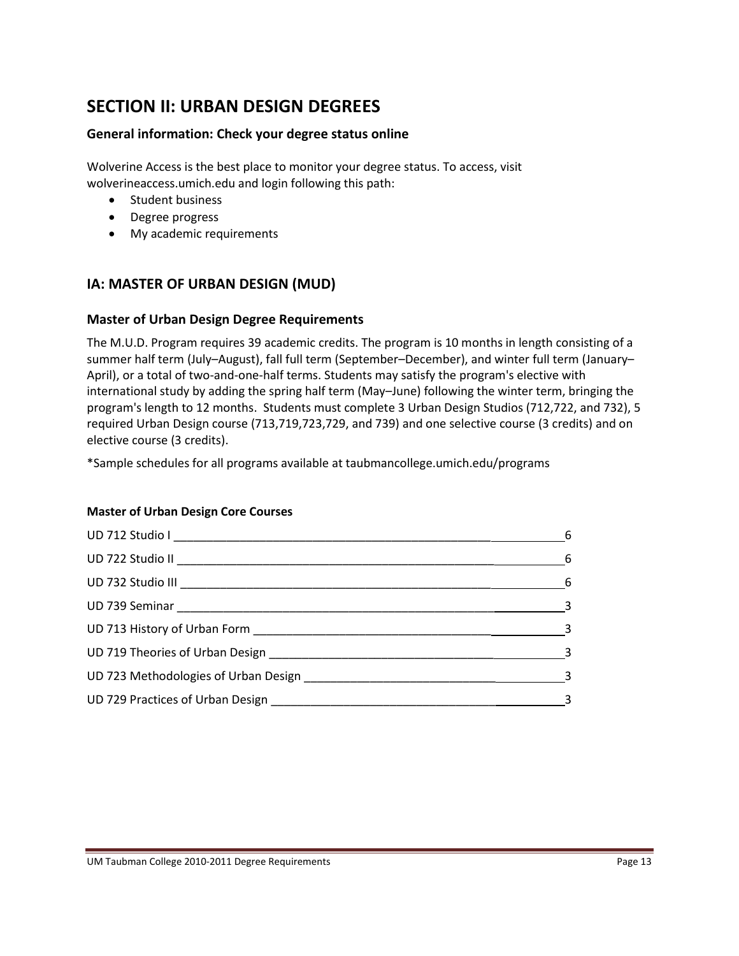# **SECTION II: URBAN DESIGN DEGREES**

#### **General information: Check your degree status online**

Wolverine Access is the best place to monitor your degree status. To access, visit wolverineaccess.umich.edu and login following this path:

- Student business
- Degree progress
- My academic requirements

# **IA: MASTER OF URBAN DESIGN (MUD)**

#### **Master of Urban Design Degree Requirements**

The M.U.D. Program requires 39 academic credits. The program is 10 months in length consisting of a summer half term (July–August), fall full term (September–December), and winter full term (January– April), or a total of two-and-one-half terms. Students may satisfy the program's elective with international study by adding the spring half term (May–June) following the winter term, bringing the program's length to 12 months. Students must complete 3 Urban Design Studios (712,722, and 732), 5 required Urban Design course (713,719,723,729, and 739) and one selective course (3 credits) and on elective course (3 credits).

\*Sample schedules for all programs available at taubmancollege.umich.edu/programs

#### **Master of Urban Design Core Courses**

|                                                                                                                                                                                                                                | $-6$                       |
|--------------------------------------------------------------------------------------------------------------------------------------------------------------------------------------------------------------------------------|----------------------------|
|                                                                                                                                                                                                                                | $\sim$ 6                   |
|                                                                                                                                                                                                                                |                            |
|                                                                                                                                                                                                                                | $\sim$ 3                   |
|                                                                                                                                                                                                                                | $\overline{\phantom{a}}$ 3 |
| UD 719 Theories of Urban Design 2008 and 2008 and 2008 and 2008 and 2008 and 2008 and 2008 and 2008 and 2008 and 2008 and 2008 and 2008 and 2008 and 2008 and 2008 and 2008 and 2008 and 2008 and 2008 and 2008 and 2008 and 2 |                            |
| UD 723 Methodologies of Urban Design example and the control of the control of the control of the control of the control of the control of the control of the control of the control of the control of the control of the cont |                            |
|                                                                                                                                                                                                                                |                            |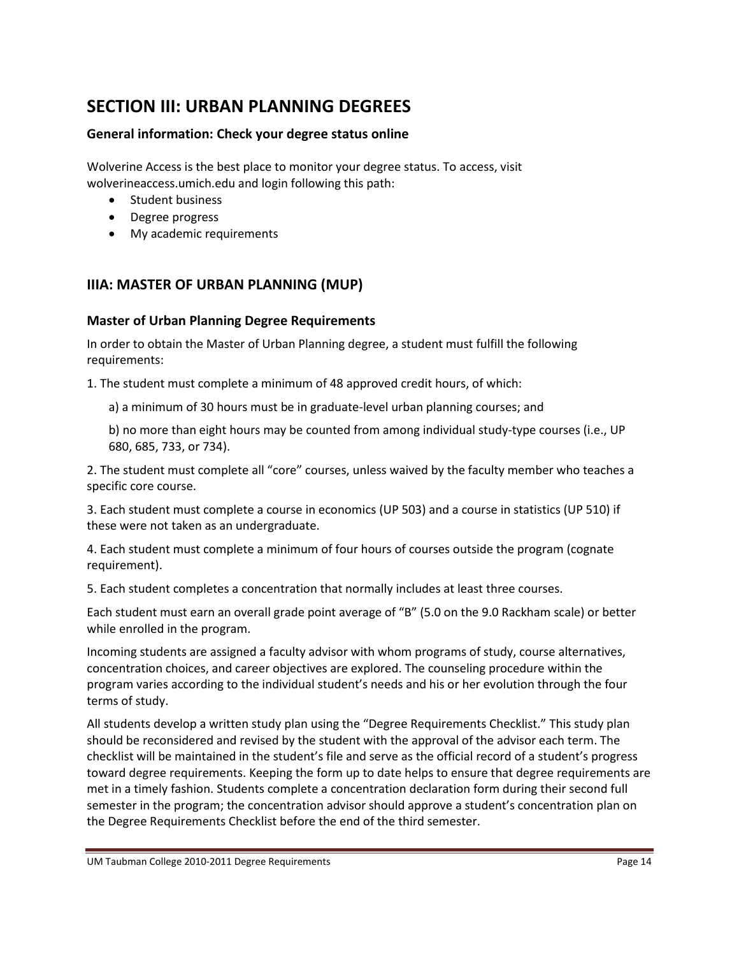# **SECTION III: URBAN PLANNING DEGREES**

## **General information: Check your degree status online**

Wolverine Access is the best place to monitor your degree status. To access, visit wolverineaccess.umich.edu and login following this path:

- Student business
- Degree progress
- My academic requirements

# **IIIA: MASTER OF URBAN PLANNING (MUP)**

#### **Master of Urban Planning Degree Requirements**

In order to obtain the Master of Urban Planning degree, a student must fulfill the following requirements:

1. The student must complete a minimum of 48 approved credit hours, of which:

a) a minimum of 30 hours must be in graduate-level urban planning courses; and

b) no more than eight hours may be counted from among individual study-type courses (i.e., UP 680, 685, 733, or 734).

2. The student must complete all "core" courses, unless waived by the faculty member who teaches a specific core course.

3. Each student must complete a course in economics (UP 503) and a course in statistics (UP 510) if these were not taken as an undergraduate.

4. Each student must complete a minimum of four hours of courses outside the program (cognate requirement).

5. Each student completes a concentration that normally includes at least three courses.

Each student must earn an overall grade point average of "B" (5.0 on the 9.0 Rackham scale) or better while enrolled in the program.

Incoming students are assigned a faculty advisor with whom programs of study, course alternatives, concentration choices, and career objectives are explored. The counseling procedure within the program varies according to the individual student's needs and his or her evolution through the four terms of study.

All students develop a written study plan using the "Degree Requirements Checklist." This study plan should be reconsidered and revised by the student with the approval of the advisor each term. The checklist will be maintained in the student's file and serve as the official record of a student's progress toward degree requirements. Keeping the form up to date helps to ensure that degree requirements are met in a timely fashion. Students complete a concentration declaration form during their second full semester in the program; the concentration advisor should approve a student's concentration plan on the Degree Requirements Checklist before the end of the third semester.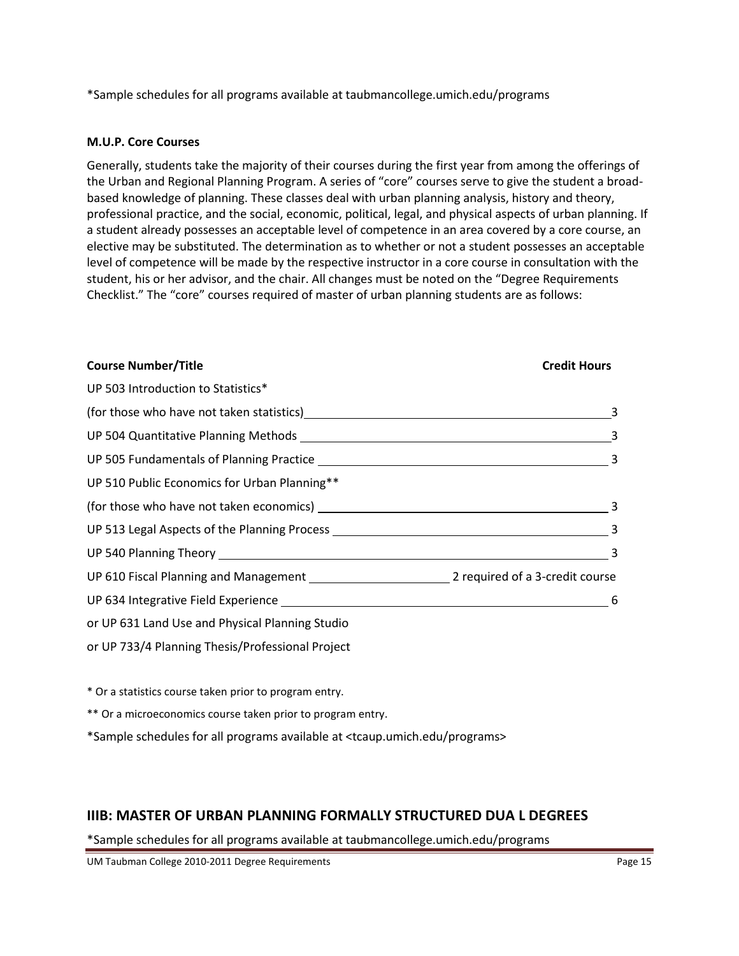\*Sample schedules for all programs available at taubmancollege.umich.edu/programs

#### **M.U.P. Core Courses**

Generally, students take the majority of their courses during the first year from among the offerings of the Urban and Regional Planning Program. A series of "core" courses serve to give the student a broadbased knowledge of planning. These classes deal with urban planning analysis, history and theory, professional practice, and the social, economic, political, legal, and physical aspects of urban planning. If a student already possesses an acceptable level of competence in an area covered by a core course, an elective may be substituted. The determination as to whether or not a student possesses an acceptable level of competence will be made by the respective instructor in a core course in consultation with the student, his or her advisor, and the chair. All changes must be noted on the "Degree Requirements Checklist." The "core" courses required of master of urban planning students are as follows:

#### **Course Number/Title Credit Hours**

| UP 503 Introduction to Statistics*                                                                                                                                                                                             |                            |
|--------------------------------------------------------------------------------------------------------------------------------------------------------------------------------------------------------------------------------|----------------------------|
| (for those who have not taken statistics)<br><u>equals</u> (for those who have not taken statistics)<br><u>equals</u>                                                                                                          | $\overline{\phantom{a}}$ 3 |
|                                                                                                                                                                                                                                |                            |
|                                                                                                                                                                                                                                |                            |
| UP 510 Public Economics for Urban Planning**                                                                                                                                                                                   |                            |
|                                                                                                                                                                                                                                |                            |
|                                                                                                                                                                                                                                |                            |
|                                                                                                                                                                                                                                | $\overline{\phantom{a}}$ 3 |
|                                                                                                                                                                                                                                |                            |
| UP 634 Integrative Field Experience Learner and Contract Contract Contract Contract Contract Contract Contract Contract Contract Contract Contract Contract Contract Contract Contract Contract Contract Contract Contract Con | 6                          |
| or UP 631 Land Use and Physical Planning Studio                                                                                                                                                                                |                            |
| or UP 733/4 Planning Thesis/Professional Project                                                                                                                                                                               |                            |

\* Or a statistics course taken prior to program entry.

\*\* Or a microeconomics course taken prior to program entry.

\*Sample schedules for all programs available at <tcaup.umich.edu/programs>

# **IIIB: MASTER OF URBAN PLANNING FORMALLY STRUCTURED DUA L DEGREES**

\*Sample schedules for all programs available at taubmancollege.umich.edu/programs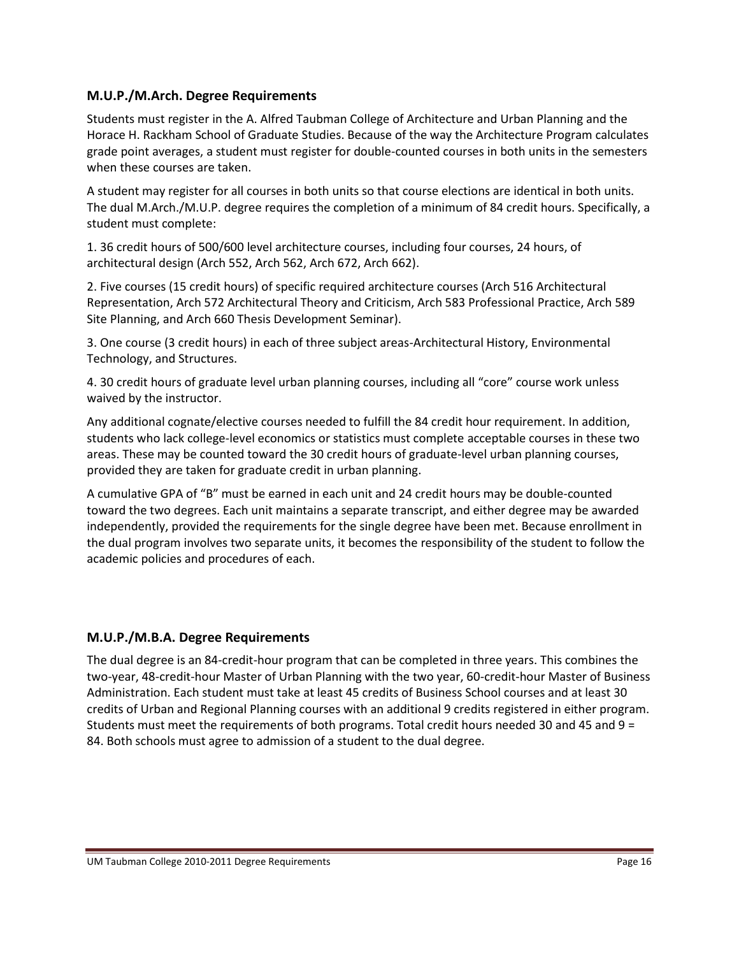#### **M.U.P./M.Arch. Degree Requirements**

Students must register in the A. Alfred Taubman College of Architecture and Urban Planning and the Horace H. Rackham School of Graduate Studies. Because of the way the Architecture Program calculates grade point averages, a student must register for double-counted courses in both units in the semesters when these courses are taken.

A student may register for all courses in both units so that course elections are identical in both units. The dual M.Arch./M.U.P. degree requires the completion of a minimum of 84 credit hours. Specifically, a student must complete:

1. 36 credit hours of 500/600 level architecture courses, including four courses, 24 hours, of architectural design (Arch 552, Arch 562, Arch 672, Arch 662).

2. Five courses (15 credit hours) of specific required architecture courses (Arch 516 Architectural Representation, Arch 572 Architectural Theory and Criticism, Arch 583 Professional Practice, Arch 589 Site Planning, and Arch 660 Thesis Development Seminar).

3. One course (3 credit hours) in each of three subject areas-Architectural History, Environmental Technology, and Structures.

4. 30 credit hours of graduate level urban planning courses, including all "core" course work unless waived by the instructor.

Any additional cognate/elective courses needed to fulfill the 84 credit hour requirement. In addition, students who lack college-level economics or statistics must complete acceptable courses in these two areas. These may be counted toward the 30 credit hours of graduate-level urban planning courses, provided they are taken for graduate credit in urban planning.

A cumulative GPA of "B" must be earned in each unit and 24 credit hours may be double-counted toward the two degrees. Each unit maintains a separate transcript, and either degree may be awarded independently, provided the requirements for the single degree have been met. Because enrollment in the dual program involves two separate units, it becomes the responsibility of the student to follow the academic policies and procedures of each.

## **M.U.P./M.B.A. Degree Requirements**

The dual degree is an 84-credit-hour program that can be completed in three years. This combines the two-year, 48-credit-hour Master of Urban Planning with the two year, 60-credit-hour Master of Business Administration. Each student must take at least 45 credits of Business School courses and at least 30 credits of Urban and Regional Planning courses with an additional 9 credits registered in either program. Students must meet the requirements of both programs. Total credit hours needed 30 and 45 and 9 = 84. Both schools must agree to admission of a student to the dual degree.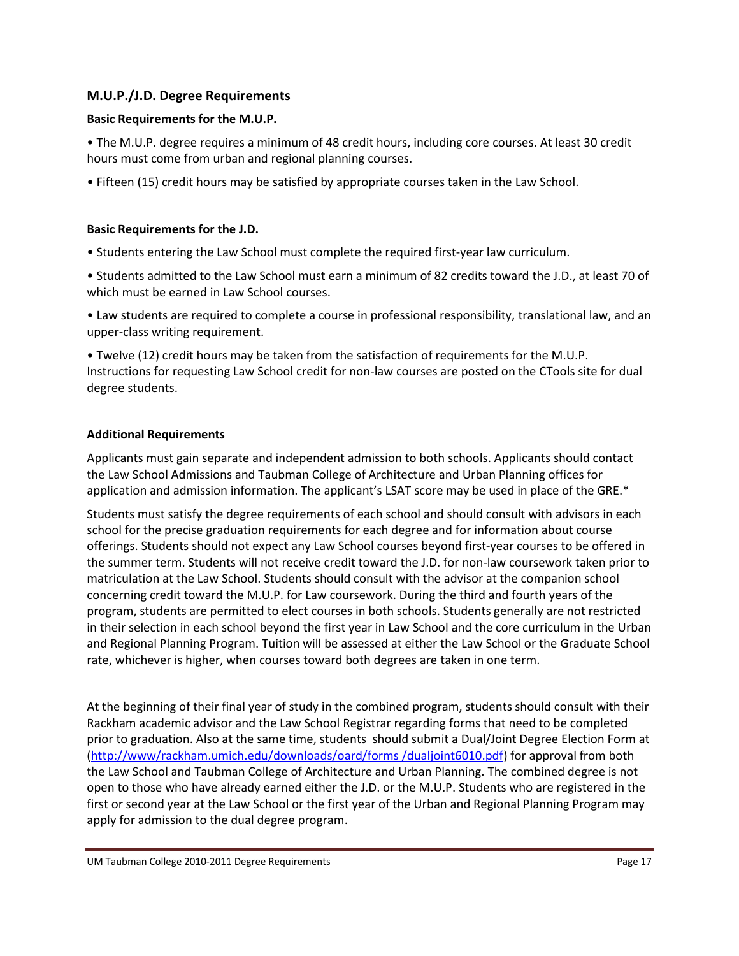## **M.U.P./J.D. Degree Requirements**

#### **Basic Requirements for the M.U.P.**

• The M.U.P. degree requires a minimum of 48 credit hours, including core courses. At least 30 credit hours must come from urban and regional planning courses.

• Fifteen (15) credit hours may be satisfied by appropriate courses taken in the Law School.

#### **Basic Requirements for the J.D.**

• Students entering the Law School must complete the required first-year law curriculum.

• Students admitted to the Law School must earn a minimum of 82 credits toward the J.D., at least 70 of which must be earned in Law School courses.

• Law students are required to complete a course in professional responsibility, translational law, and an upper-class writing requirement.

• Twelve (12) credit hours may be taken from the satisfaction of requirements for the M.U.P. Instructions for requesting Law School credit for non-law courses are posted on the CTools site for dual degree students.

#### **Additional Requirements**

Applicants must gain separate and independent admission to both schools. Applicants should contact the Law School Admissions and Taubman College of Architecture and Urban Planning offices for application and admission information. The applicant's LSAT score may be used in place of the GRE.\*

Students must satisfy the degree requirements of each school and should consult with advisors in each school for the precise graduation requirements for each degree and for information about course offerings. Students should not expect any Law School courses beyond first-year courses to be offered in the summer term. Students will not receive credit toward the J.D. for non-law coursework taken prior to matriculation at the Law School. Students should consult with the advisor at the companion school concerning credit toward the M.U.P. for Law coursework. During the third and fourth years of the program, students are permitted to elect courses in both schools. Students generally are not restricted in their selection in each school beyond the first year in Law School and the core curriculum in the Urban and Regional Planning Program. Tuition will be assessed at either the Law School or the Graduate School rate, whichever is higher, when courses toward both degrees are taken in one term.

At the beginning of their final year of study in the combined program, students should consult with their Rackham academic advisor and the Law School Registrar regarding forms that need to be completed prior to graduation. Also at the same time, students should submit a Dual/Joint Degree Election Form at [\(http://www/rackham.umich.edu/downloads/oard/forms /dualjoint6010.pdf\)](http://www/rackham.umich.edu/downloads/oard/forms%20/dualjoint6010.pdf) for approval from both the Law School and Taubman College of Architecture and Urban Planning. The combined degree is not open to those who have already earned either the J.D. or the M.U.P. Students who are registered in the first or second year at the Law School or the first year of the Urban and Regional Planning Program may apply for admission to the dual degree program.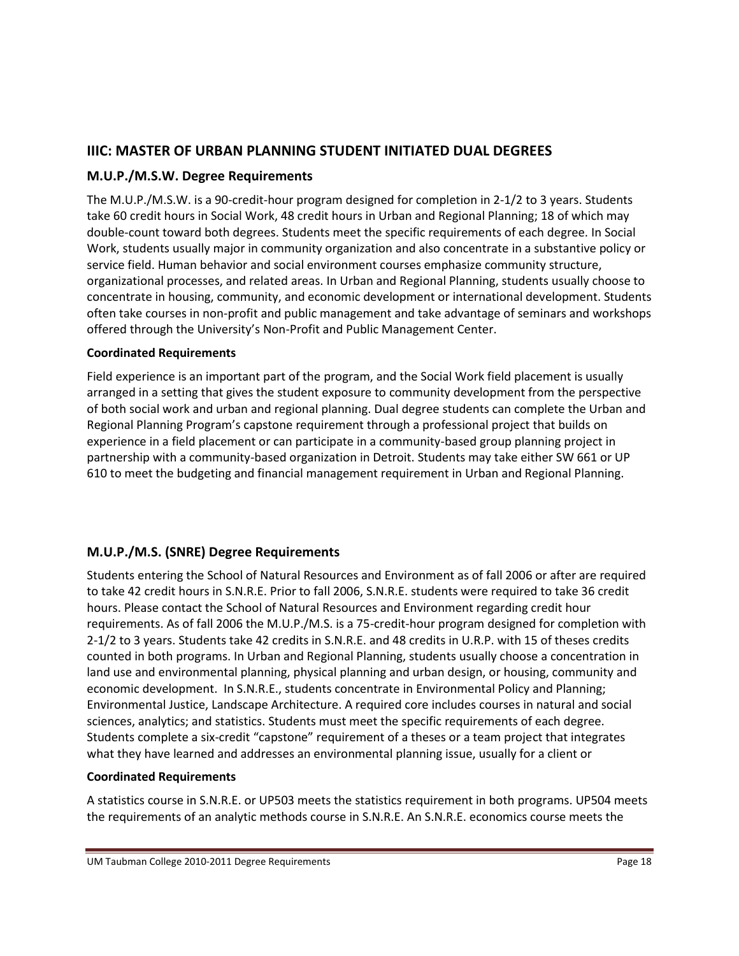# **IIIC: MASTER OF URBAN PLANNING STUDENT INITIATED DUAL DEGREES**

# **M.U.P./M.S.W. Degree Requirements**

The M.U.P./M.S.W. is a 90-credit-hour program designed for completion in 2-1/2 to 3 years. Students take 60 credit hours in Social Work, 48 credit hours in Urban and Regional Planning; 18 of which may double-count toward both degrees. Students meet the specific requirements of each degree. In Social Work, students usually major in community organization and also concentrate in a substantive policy or service field. Human behavior and social environment courses emphasize community structure, organizational processes, and related areas. In Urban and Regional Planning, students usually choose to concentrate in housing, community, and economic development or international development. Students often take courses in non-profit and public management and take advantage of seminars and workshops offered through the University's Non-Profit and Public Management Center.

#### **Coordinated Requirements**

Field experience is an important part of the program, and the Social Work field placement is usually arranged in a setting that gives the student exposure to community development from the perspective of both social work and urban and regional planning. Dual degree students can complete the Urban and Regional Planning Program's capstone requirement through a professional project that builds on experience in a field placement or can participate in a community-based group planning project in partnership with a community-based organization in Detroit. Students may take either SW 661 or UP 610 to meet the budgeting and financial management requirement in Urban and Regional Planning.

# **M.U.P./M.S. (SNRE) Degree Requirements**

Students entering the School of Natural Resources and Environment as of fall 2006 or after are required to take 42 credit hours in S.N.R.E. Prior to fall 2006, S.N.R.E. students were required to take 36 credit hours. Please contact the School of Natural Resources and Environment regarding credit hour requirements. As of fall 2006 the M.U.P./M.S. is a 75-credit-hour program designed for completion with 2-1/2 to 3 years. Students take 42 credits in S.N.R.E. and 48 credits in U.R.P. with 15 of theses credits counted in both programs. In Urban and Regional Planning, students usually choose a concentration in land use and environmental planning, physical planning and urban design, or housing, community and economic development. In S.N.R.E., students concentrate in Environmental Policy and Planning; Environmental Justice, Landscape Architecture. A required core includes courses in natural and social sciences, analytics; and statistics. Students must meet the specific requirements of each degree. Students complete a six-credit "capstone" requirement of a theses or a team project that integrates what they have learned and addresses an environmental planning issue, usually for a client or

#### **Coordinated Requirements**

A statistics course in S.N.R.E. or UP503 meets the statistics requirement in both programs. UP504 meets the requirements of an analytic methods course in S.N.R.E. An S.N.R.E. economics course meets the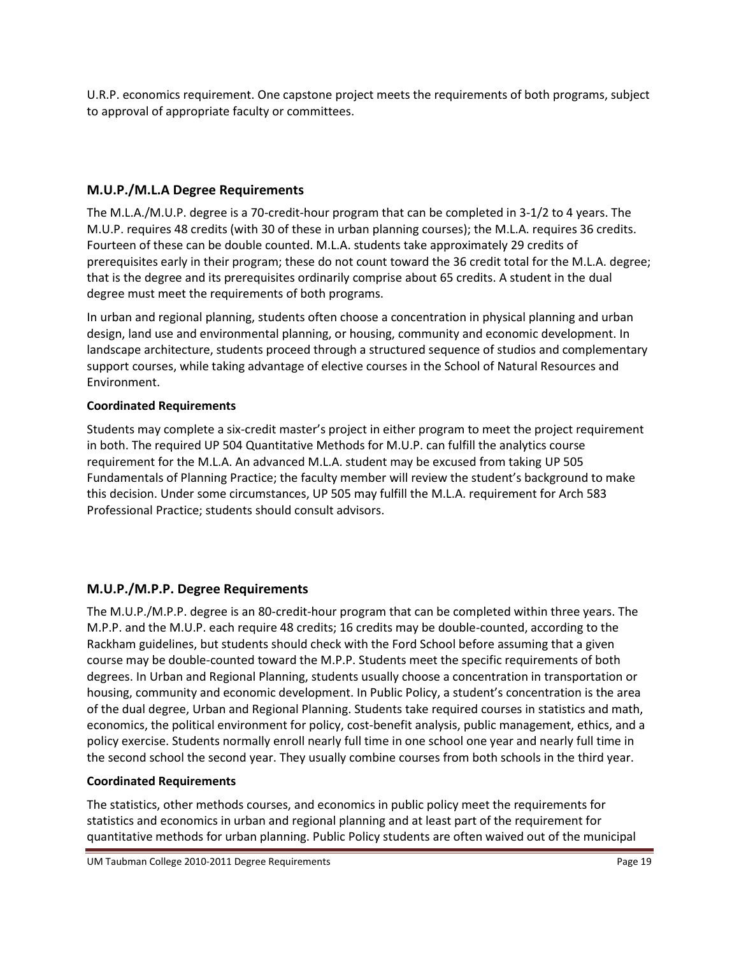U.R.P. economics requirement. One capstone project meets the requirements of both programs, subject to approval of appropriate faculty or committees.

# **M.U.P./M.L.A Degree Requirements**

The M.L.A./M.U.P. degree is a 70-credit-hour program that can be completed in 3-1/2 to 4 years. The M.U.P. requires 48 credits (with 30 of these in urban planning courses); the M.L.A. requires 36 credits. Fourteen of these can be double counted. M.L.A. students take approximately 29 credits of prerequisites early in their program; these do not count toward the 36 credit total for the M.L.A. degree; that is the degree and its prerequisites ordinarily comprise about 65 credits. A student in the dual degree must meet the requirements of both programs.

In urban and regional planning, students often choose a concentration in physical planning and urban design, land use and environmental planning, or housing, community and economic development. In landscape architecture, students proceed through a structured sequence of studios and complementary support courses, while taking advantage of elective courses in the School of Natural Resources and Environment.

# **Coordinated Requirements**

Students may complete a six-credit master's project in either program to meet the project requirement in both. The required UP 504 Quantitative Methods for M.U.P. can fulfill the analytics course requirement for the M.L.A. An advanced M.L.A. student may be excused from taking UP 505 Fundamentals of Planning Practice; the faculty member will review the student's background to make this decision. Under some circumstances, UP 505 may fulfill the M.L.A. requirement for Arch 583 Professional Practice; students should consult advisors.

# **M.U.P./M.P.P. Degree Requirements**

The M.U.P./M.P.P. degree is an 80-credit-hour program that can be completed within three years. The M.P.P. and the M.U.P. each require 48 credits; 16 credits may be double-counted, according to the Rackham guidelines, but students should check with the Ford School before assuming that a given course may be double-counted toward the M.P.P. Students meet the specific requirements of both degrees. In Urban and Regional Planning, students usually choose a concentration in transportation or housing, community and economic development. In Public Policy, a student's concentration is the area of the dual degree, Urban and Regional Planning. Students take required courses in statistics and math, economics, the political environment for policy, cost-benefit analysis, public management, ethics, and a policy exercise. Students normally enroll nearly full time in one school one year and nearly full time in the second school the second year. They usually combine courses from both schools in the third year.

# **Coordinated Requirements**

The statistics, other methods courses, and economics in public policy meet the requirements for statistics and economics in urban and regional planning and at least part of the requirement for quantitative methods for urban planning. Public Policy students are often waived out of the municipal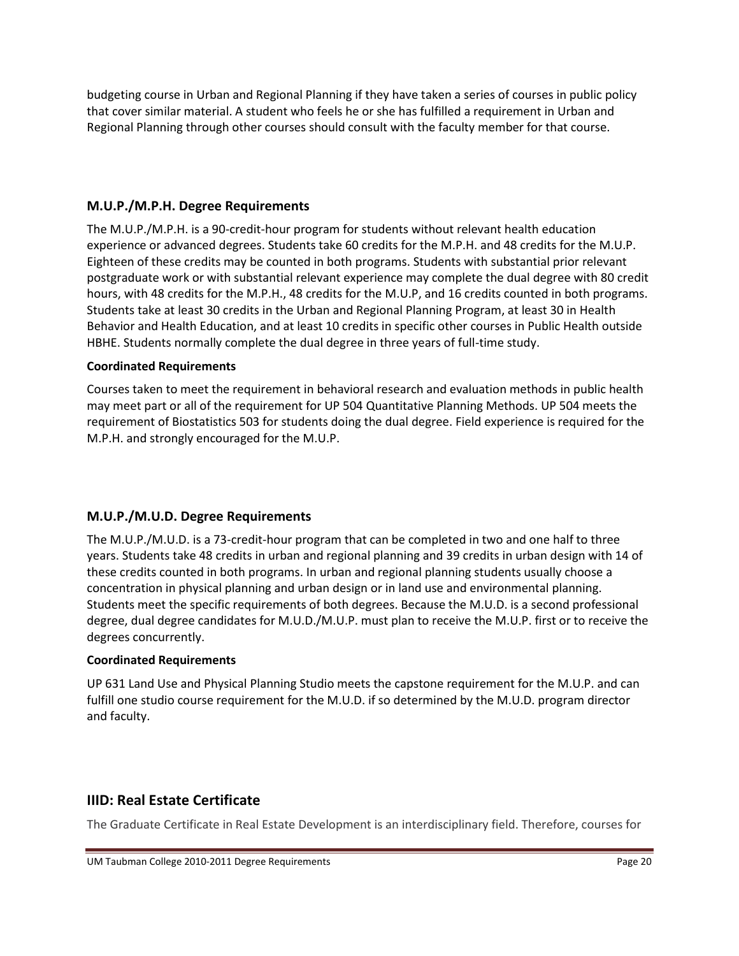budgeting course in Urban and Regional Planning if they have taken a series of courses in public policy that cover similar material. A student who feels he or she has fulfilled a requirement in Urban and Regional Planning through other courses should consult with the faculty member for that course.

## **M.U.P./M.P.H. Degree Requirements**

The M.U.P./M.P.H. is a 90-credit-hour program for students without relevant health education experience or advanced degrees. Students take 60 credits for the M.P.H. and 48 credits for the M.U.P. Eighteen of these credits may be counted in both programs. Students with substantial prior relevant postgraduate work or with substantial relevant experience may complete the dual degree with 80 credit hours, with 48 credits for the M.P.H., 48 credits for the M.U.P, and 16 credits counted in both programs. Students take at least 30 credits in the Urban and Regional Planning Program, at least 30 in Health Behavior and Health Education, and at least 10 credits in specific other courses in Public Health outside HBHE. Students normally complete the dual degree in three years of full-time study.

#### **Coordinated Requirements**

Courses taken to meet the requirement in behavioral research and evaluation methods in public health may meet part or all of the requirement for UP 504 Quantitative Planning Methods. UP 504 meets the requirement of Biostatistics 503 for students doing the dual degree. Field experience is required for the M.P.H. and strongly encouraged for the M.U.P.

## **M.U.P./M.U.D. Degree Requirements**

The M.U.P./M.U.D. is a 73-credit-hour program that can be completed in two and one half to three years. Students take 48 credits in urban and regional planning and 39 credits in urban design with 14 of these credits counted in both programs. In urban and regional planning students usually choose a concentration in physical planning and urban design or in land use and environmental planning. Students meet the specific requirements of both degrees. Because the M.U.D. is a second professional degree, dual degree candidates for M.U.D./M.U.P. must plan to receive the M.U.P. first or to receive the degrees concurrently.

#### **Coordinated Requirements**

UP 631 Land Use and Physical Planning Studio meets the capstone requirement for the M.U.P. and can fulfill one studio course requirement for the M.U.D. if so determined by the M.U.D. program director and faculty.

# **IIID: Real Estate Certificate**

The Graduate Certificate in Real Estate Development is an interdisciplinary field. Therefore, courses for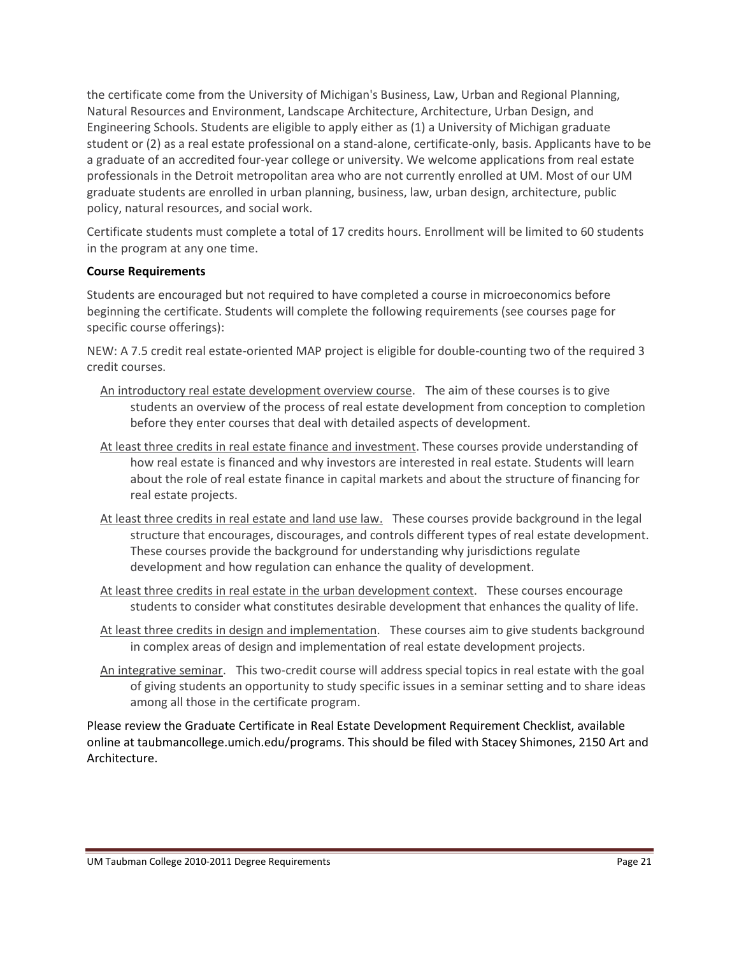the certificate come from the University of Michigan's Business, Law, Urban and Regional Planning, Natural Resources and Environment, Landscape Architecture, Architecture, Urban Design, and Engineering Schools. Students are eligible to apply either as (1) a University of Michigan graduate student or (2) as a real estate professional on a stand-alone, certificate-only, basis. Applicants have to be a graduate of an accredited four-year college or university. We welcome applications from real estate professionals in the Detroit metropolitan area who are not currently enrolled at UM. Most of our UM graduate students are enrolled in urban planning, business, law, urban design, architecture, public policy, natural resources, and social work.

Certificate students must complete a total of 17 credits hours. Enrollment will be limited to 60 students in the program at any one time.

#### **Course Requirements**

Students are encouraged but not required to have completed a course in microeconomics before beginning the certificate. Students will complete the following requirements (see courses page for specific course offerings):

NEW: A 7.5 credit real estate-oriented MAP project is eligible for double-counting two of the required 3 credit courses.

- An introductory real estate development overview course. The aim of these courses is to give students an overview of the process of real estate development from conception to completion before they enter courses that deal with detailed aspects of development.
- At least three credits in real estate finance and investment. These courses provide understanding of how real estate is financed and why investors are interested in real estate. Students will learn about the role of real estate finance in capital markets and about the structure of financing for real estate projects.
- At least three credits in real estate and land use law. These courses provide background in the legal structure that encourages, discourages, and controls different types of real estate development. These courses provide the background for understanding why jurisdictions regulate development and how regulation can enhance the quality of development.
- At least three credits in real estate in the urban development context. These courses encourage students to consider what constitutes desirable development that enhances the quality of life.
- At least three credits in design and implementation. These courses aim to give students background in complex areas of design and implementation of real estate development projects.
- An integrative seminar. This two-credit course will address special topics in real estate with the goal of giving students an opportunity to study specific issues in a seminar setting and to share ideas among all those in the certificate program.

Please review the Graduate Certificate in Real Estate Development Requirement Checklist, available online at taubmancollege.umich.edu/programs. This should be filed with Stacey Shimones, 2150 Art and Architecture.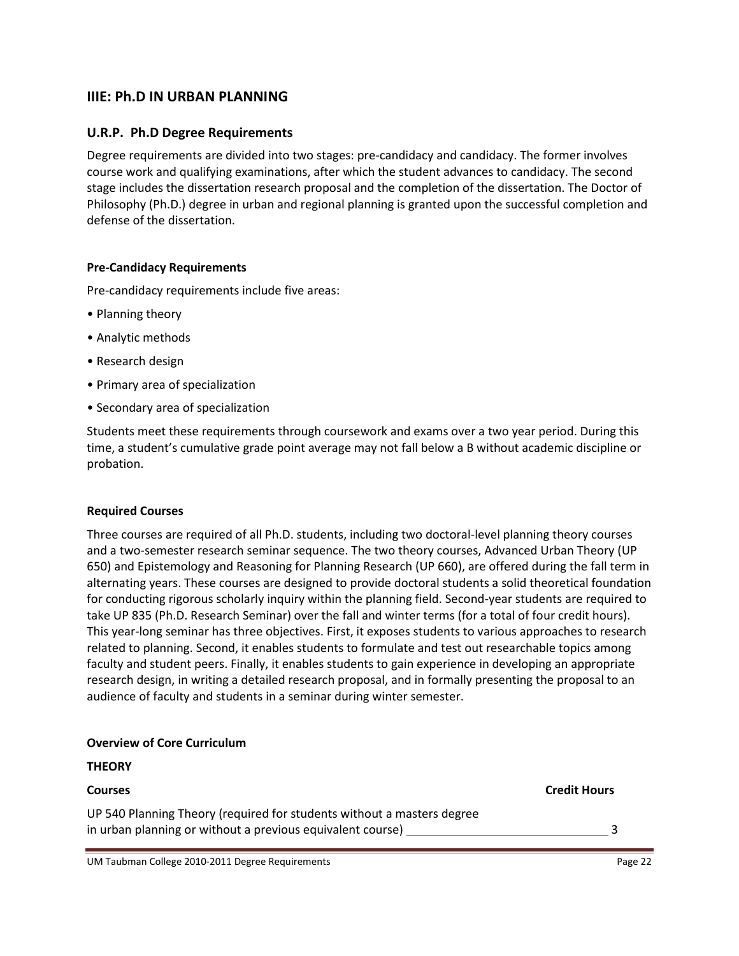# **IIIE: Ph.D IN URBAN PLANNING**

#### **U.R.P. Ph.D Degree Requirements**

Degree requirements are divided into two stages: pre-candidacy and candidacy. The former involves course work and qualifying examinations, after which the student advances to candidacy. The second stage includes the dissertation research proposal and the completion of the dissertation. The Doctor of Philosophy (Ph.D.) degree in urban and regional planning is granted upon the successful completion and defense of the dissertation.

#### **Pre-Candidacy Requirements**

Pre-candidacy requirements include five areas:

- Planning theory
- Analytic methods
- Research design
- Primary area of specialization
- Secondary area of specialization

Students meet these requirements through coursework and exams over a two year period. During this time, a student's cumulative grade point average may not fall below a B without academic discipline or probation.

#### **Required Courses**

Three courses are required of all Ph.D. students, including two doctoral-level planning theory courses and a two-semester research seminar sequence. The two theory courses, Advanced Urban Theory (UP 650) and Epistemology and Reasoning for Planning Research (UP 660), are offered during the fall term in alternating years. These courses are designed to provide doctoral students a solid theoretical foundation for conducting rigorous scholarly inquiry within the planning field. Second-year students are required to take UP 835 (Ph.D. Research Seminar) over the fall and winter terms (for a total of four credit hours). This year-long seminar has three objectives. First, it exposes students to various approaches to research related to planning. Second, it enables students to formulate and test out researchable topics among faculty and student peers. Finally, it enables students to gain experience in developing an appropriate research design, in writing a detailed research proposal, and in formally presenting the proposal to an audience of faculty and students in a seminar during winter semester.

#### **Overview of Core Curriculum**

| <b>THEORY</b>                                                                                                                        |                     |
|--------------------------------------------------------------------------------------------------------------------------------------|---------------------|
| <b>Courses</b>                                                                                                                       | <b>Credit Hours</b> |
| UP 540 Planning Theory (required for students without a masters degree<br>in urban planning or without a previous equivalent course) |                     |
|                                                                                                                                      |                     |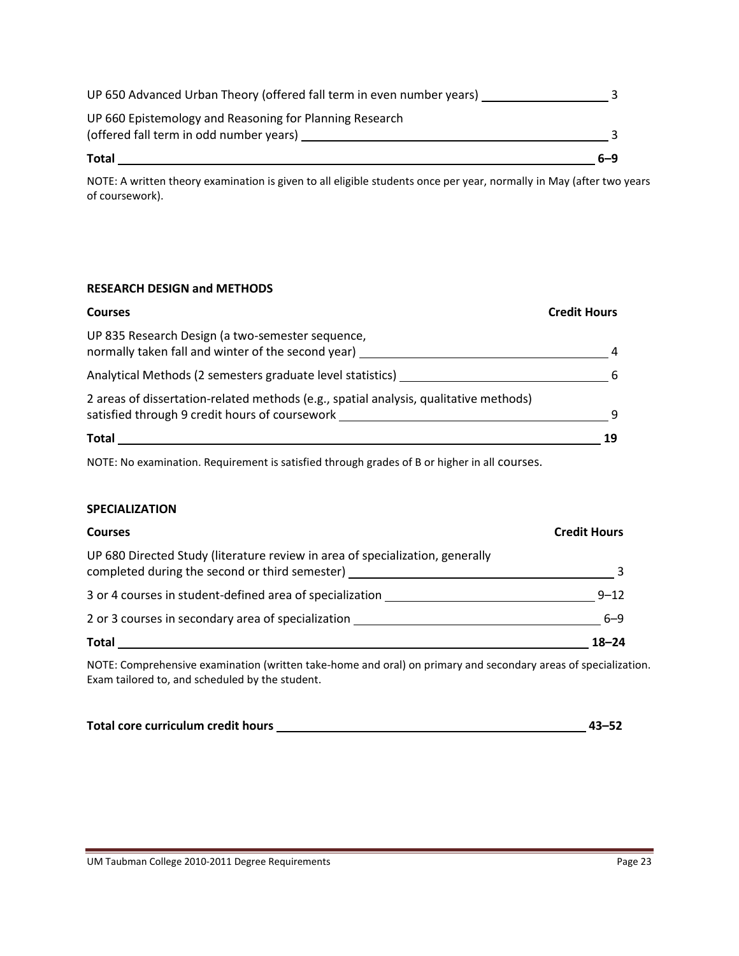| UP 660 Epistemology and Reasoning for Planning Research<br>(offered fall term in odd number years) |     |
|----------------------------------------------------------------------------------------------------|-----|
| <b>Total</b>                                                                                       | 6–9 |

NOTE: A written theory examination is given to all eligible students once per year, normally in May (after two years of coursework).

## **RESEARCH DESIGN and METHODS**

| <b>Courses</b>                                                                                                                          | <b>Credit Hours</b> |
|-----------------------------------------------------------------------------------------------------------------------------------------|---------------------|
| UP 835 Research Design (a two-semester sequence,<br>normally taken fall and winter of the second year)                                  | 4                   |
| Analytical Methods (2 semesters graduate level statistics) _                                                                            | 6                   |
| 2 areas of dissertation-related methods (e.g., spatial analysis, qualitative methods)<br>satisfied through 9 credit hours of coursework | q                   |
| Total                                                                                                                                   | 19                  |

NOTE: No examination. Requirement is satisfied through grades of B or higher in all courses.

#### **SPECIALIZATION**

| <b>Courses</b>                                                                                                                  | <b>Credit Hours</b> |
|---------------------------------------------------------------------------------------------------------------------------------|---------------------|
| UP 680 Directed Study (literature review in area of specialization, generally<br>completed during the second or third semester) |                     |
| 3 or 4 courses in student-defined area of specialization                                                                        | $9 - 12$            |
| 2 or 3 courses in secondary area of specialization                                                                              | $6 - 9$             |
| Total                                                                                                                           | $18 - 24$           |

NOTE: Comprehensive examination (written take-home and oral) on primary and secondary areas of specialization. Exam tailored to, and scheduled by the student.

| Total core curriculum credit hours | $43 - 52$ |
|------------------------------------|-----------|
|                                    |           |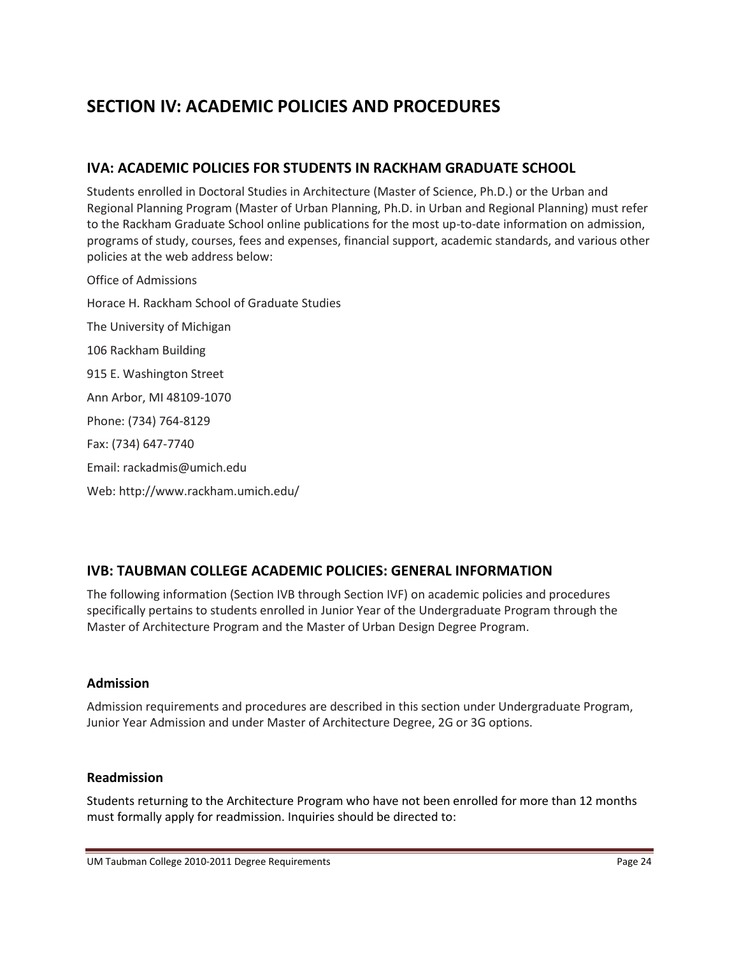# **SECTION IV: ACADEMIC POLICIES AND PROCEDURES**

# **IVA: ACADEMIC POLICIES FOR STUDENTS IN RACKHAM GRADUATE SCHOOL**

Students enrolled in Doctoral Studies in Architecture (Master of Science, Ph.D.) or the Urban and Regional Planning Program (Master of Urban Planning, Ph.D. in Urban and Regional Planning) must refer to the Rackham Graduate School online publications for the most up-to-date information on admission, programs of study, courses, fees and expenses, financial support, academic standards, and various other policies at the web address below:

Office of Admissions Horace H. Rackham School of Graduate Studies The University of Michigan 106 Rackham Building 915 E. Washington Street Ann Arbor, MI 48109-1070 Phone: (734) 764-8129 Fax: (734) 647-7740 Email: rackadmis@umich.edu Web: http://www.rackham.umich.edu/

# **IVB: TAUBMAN COLLEGE ACADEMIC POLICIES: GENERAL INFORMATION**

The following information (Section IVB through Section IVF) on academic policies and procedures specifically pertains to students enrolled in Junior Year of the Undergraduate Program through the Master of Architecture Program and the Master of Urban Design Degree Program.

## **Admission**

Admission requirements and procedures are described in this section under Undergraduate Program, Junior Year Admission and under Master of Architecture Degree, 2G or 3G options.

## **Readmission**

Students returning to the Architecture Program who have not been enrolled for more than 12 months must formally apply for readmission. Inquiries should be directed to: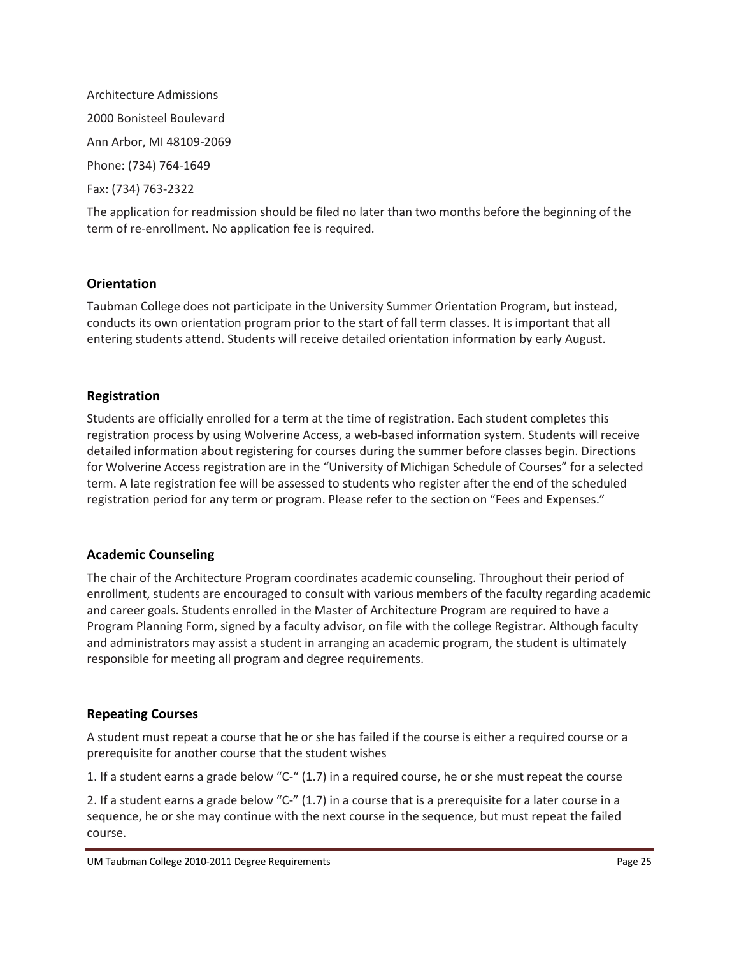Architecture Admissions 2000 Bonisteel Boulevard Ann Arbor, MI 48109-2069 Phone: (734) 764-1649 Fax: (734) 763-2322

The application for readmission should be filed no later than two months before the beginning of the term of re-enrollment. No application fee is required.

# **Orientation**

Taubman College does not participate in the University Summer Orientation Program, but instead, conducts its own orientation program prior to the start of fall term classes. It is important that all entering students attend. Students will receive detailed orientation information by early August.

# **Registration**

Students are officially enrolled for a term at the time of registration. Each student completes this registration process by using Wolverine Access, a web-based information system. Students will receive detailed information about registering for courses during the summer before classes begin. Directions for Wolverine Access registration are in the "University of Michigan Schedule of Courses" for a selected term. A late registration fee will be assessed to students who register after the end of the scheduled registration period for any term or program. Please refer to the section on "Fees and Expenses."

## **Academic Counseling**

The chair of the Architecture Program coordinates academic counseling. Throughout their period of enrollment, students are encouraged to consult with various members of the faculty regarding academic and career goals. Students enrolled in the Master of Architecture Program are required to have a Program Planning Form, signed by a faculty advisor, on file with the college Registrar. Although faculty and administrators may assist a student in arranging an academic program, the student is ultimately responsible for meeting all program and degree requirements.

## **Repeating Courses**

A student must repeat a course that he or she has failed if the course is either a required course or a prerequisite for another course that the student wishes

1. If a student earns a grade below "C-" (1.7) in a required course, he or she must repeat the course

2. If a student earns a grade below "C-" (1.7) in a course that is a prerequisite for a later course in a sequence, he or she may continue with the next course in the sequence, but must repeat the failed course.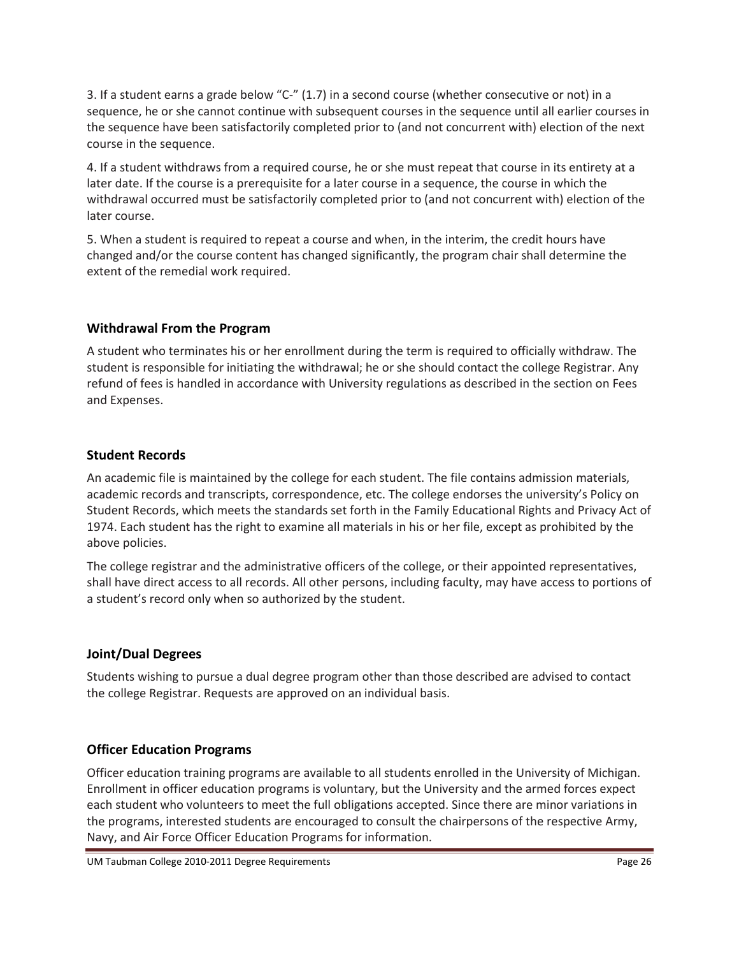3. If a student earns a grade below "C-" (1.7) in a second course (whether consecutive or not) in a sequence, he or she cannot continue with subsequent courses in the sequence until all earlier courses in the sequence have been satisfactorily completed prior to (and not concurrent with) election of the next course in the sequence.

4. If a student withdraws from a required course, he or she must repeat that course in its entirety at a later date. If the course is a prerequisite for a later course in a sequence, the course in which the withdrawal occurred must be satisfactorily completed prior to (and not concurrent with) election of the later course.

5. When a student is required to repeat a course and when, in the interim, the credit hours have changed and/or the course content has changed significantly, the program chair shall determine the extent of the remedial work required.

# **Withdrawal From the Program**

A student who terminates his or her enrollment during the term is required to officially withdraw. The student is responsible for initiating the withdrawal; he or she should contact the college Registrar. Any refund of fees is handled in accordance with University regulations as described in the section on Fees and Expenses.

# **Student Records**

An academic file is maintained by the college for each student. The file contains admission materials, academic records and transcripts, correspondence, etc. The college endorses the university's Policy on Student Records, which meets the standards set forth in the Family Educational Rights and Privacy Act of 1974. Each student has the right to examine all materials in his or her file, except as prohibited by the above policies.

The college registrar and the administrative officers of the college, or their appointed representatives, shall have direct access to all records. All other persons, including faculty, may have access to portions of a student's record only when so authorized by the student.

# **Joint/Dual Degrees**

Students wishing to pursue a dual degree program other than those described are advised to contact the college Registrar. Requests are approved on an individual basis.

# **Officer Education Programs**

Officer education training programs are available to all students enrolled in the University of Michigan. Enrollment in officer education programs is voluntary, but the University and the armed forces expect each student who volunteers to meet the full obligations accepted. Since there are minor variations in the programs, interested students are encouraged to consult the chairpersons of the respective Army, Navy, and Air Force Officer Education Programs for information.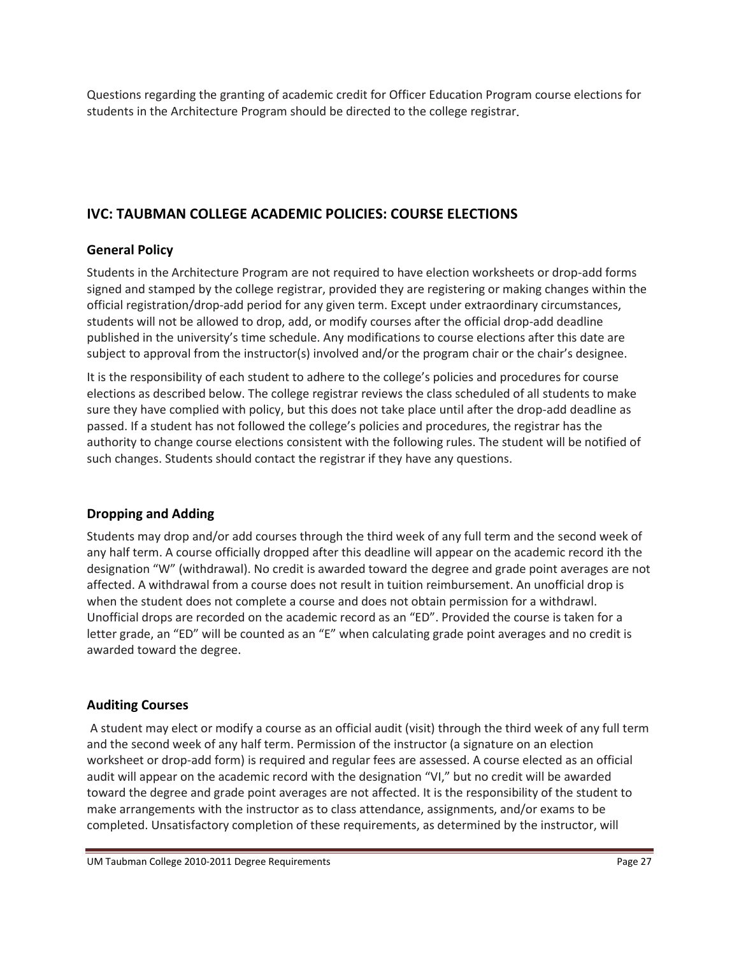Questions regarding the granting of academic credit for Officer Education Program course elections for students in the Architecture Program should be directed to the college registrar

# **IVC: TAUBMAN COLLEGE ACADEMIC POLICIES: COURSE ELECTIONS**

# **General Policy**

Students in the Architecture Program are not required to have election worksheets or drop-add forms signed and stamped by the college registrar, provided they are registering or making changes within the official registration/drop-add period for any given term. Except under extraordinary circumstances, students will not be allowed to drop, add, or modify courses after the official drop-add deadline published in the university's time schedule. Any modifications to course elections after this date are subject to approval from the instructor(s) involved and/or the program chair or the chair's designee.

It is the responsibility of each student to adhere to the college's policies and procedures for course elections as described below. The college registrar reviews the class scheduled of all students to make sure they have complied with policy, but this does not take place until after the drop-add deadline as passed. If a student has not followed the college's policies and procedures, the registrar has the authority to change course elections consistent with the following rules. The student will be notified of such changes. Students should contact the registrar if they have any questions.

## **Dropping and Adding**

Students may drop and/or add courses through the third week of any full term and the second week of any half term. A course officially dropped after this deadline will appear on the academic record ith the designation "W" (withdrawal). No credit is awarded toward the degree and grade point averages are not affected. A withdrawal from a course does not result in tuition reimbursement. An unofficial drop is when the student does not complete a course and does not obtain permission for a withdrawl. Unofficial drops are recorded on the academic record as an "ED". Provided the course is taken for a letter grade, an "ED" will be counted as an "E" when calculating grade point averages and no credit is awarded toward the degree.

## **Auditing Courses**

A student may elect or modify a course as an official audit (visit) through the third week of any full term and the second week of any half term. Permission of the instructor (a signature on an election worksheet or drop-add form) is required and regular fees are assessed. A course elected as an official audit will appear on the academic record with the designation "VI," but no credit will be awarded toward the degree and grade point averages are not affected. It is the responsibility of the student to make arrangements with the instructor as to class attendance, assignments, and/or exams to be completed. Unsatisfactory completion of these requirements, as determined by the instructor, will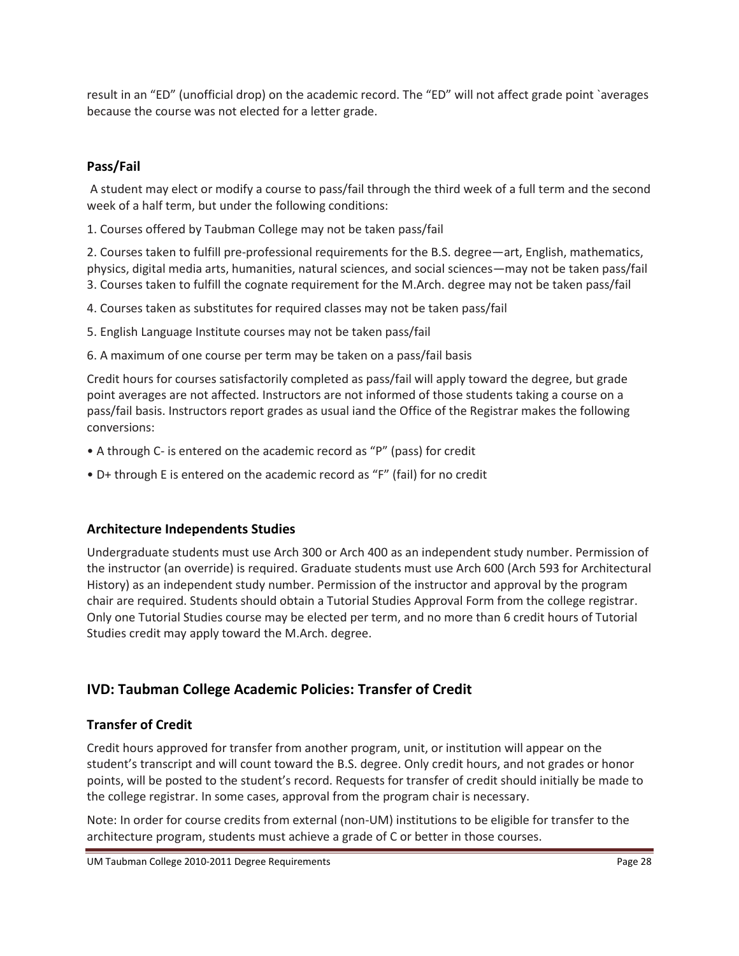result in an "ED" (unofficial drop) on the academic record. The "ED" will not affect grade point `averages because the course was not elected for a letter grade.

# **Pass/Fail**

A student may elect or modify a course to pass/fail through the third week of a full term and the second week of a half term, but under the following conditions:

1. Courses offered by Taubman College may not be taken pass/fail

2. Courses taken to fulfill pre-professional requirements for the B.S. degree—art, English, mathematics, physics, digital media arts, humanities, natural sciences, and social sciences—may not be taken pass/fail 3. Courses taken to fulfill the cognate requirement for the M.Arch. degree may not be taken pass/fail

4. Courses taken as substitutes for required classes may not be taken pass/fail

5. English Language Institute courses may not be taken pass/fail

6. A maximum of one course per term may be taken on a pass/fail basis

Credit hours for courses satisfactorily completed as pass/fail will apply toward the degree, but grade point averages are not affected. Instructors are not informed of those students taking a course on a pass/fail basis. Instructors report grades as usual iand the Office of the Registrar makes the following conversions:

- A through C- is entered on the academic record as "P" (pass) for credit
- D+ through E is entered on the academic record as "F" (fail) for no credit

## **Architecture Independents Studies**

Undergraduate students must use Arch 300 or Arch 400 as an independent study number. Permission of the instructor (an override) is required. Graduate students must use Arch 600 (Arch 593 for Architectural History) as an independent study number. Permission of the instructor and approval by the program chair are required. Students should obtain a Tutorial Studies Approval Form from the college registrar. Only one Tutorial Studies course may be elected per term, and no more than 6 credit hours of Tutorial Studies credit may apply toward the M.Arch. degree.

# **IVD: Taubman College Academic Policies: Transfer of Credit**

## **Transfer of Credit**

Credit hours approved for transfer from another program, unit, or institution will appear on the student's transcript and will count toward the B.S. degree. Only credit hours, and not grades or honor points, will be posted to the student's record. Requests for transfer of credit should initially be made to the college registrar. In some cases, approval from the program chair is necessary.

Note: In order for course credits from external (non-UM) institutions to be eligible for transfer to the architecture program, students must achieve a grade of C or better in those courses.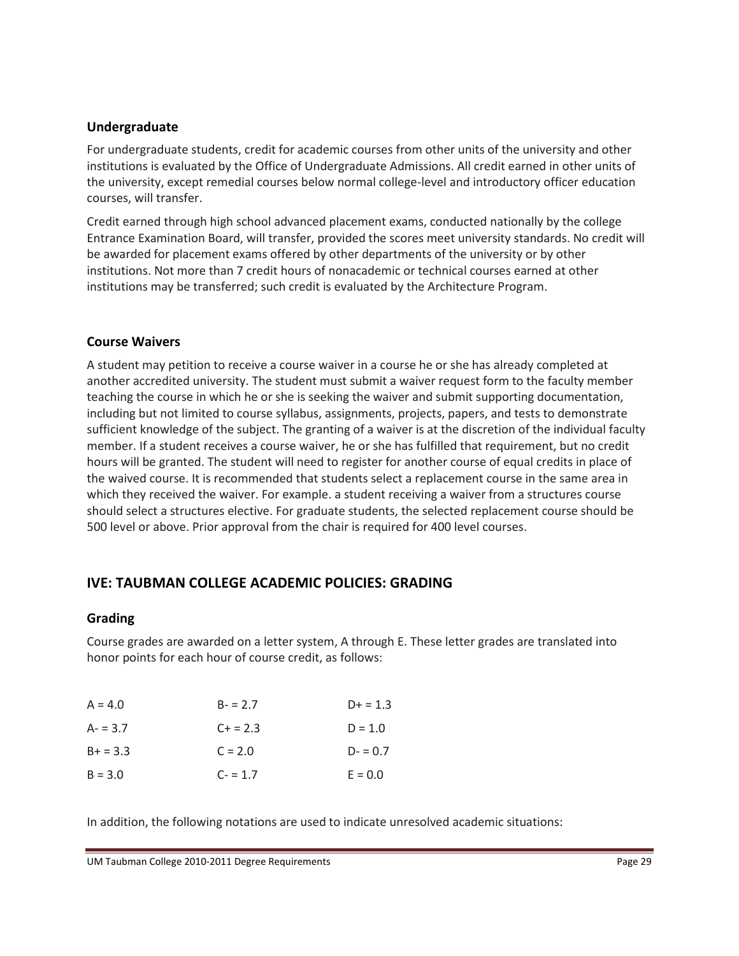#### **Undergraduate**

For undergraduate students, credit for academic courses from other units of the university and other institutions is evaluated by the Office of Undergraduate Admissions. All credit earned in other units of the university, except remedial courses below normal college-level and introductory officer education courses, will transfer.

Credit earned through high school advanced placement exams, conducted nationally by the college Entrance Examination Board, will transfer, provided the scores meet university standards. No credit will be awarded for placement exams offered by other departments of the university or by other institutions. Not more than 7 credit hours of nonacademic or technical courses earned at other institutions may be transferred; such credit is evaluated by the Architecture Program.

## **Course Waivers**

A student may petition to receive a course waiver in a course he or she has already completed at another accredited university. The student must submit a waiver request form to the faculty member teaching the course in which he or she is seeking the waiver and submit supporting documentation, including but not limited to course syllabus, assignments, projects, papers, and tests to demonstrate sufficient knowledge of the subject. The granting of a waiver is at the discretion of the individual faculty member. If a student receives a course waiver, he or she has fulfilled that requirement, but no credit hours will be granted. The student will need to register for another course of equal credits in place of the waived course. It is recommended that students select a replacement course in the same area in which they received the waiver. For example. a student receiving a waiver from a structures course should select a structures elective. For graduate students, the selected replacement course should be 500 level or above. Prior approval from the chair is required for 400 level courses.

# **IVE: TAUBMAN COLLEGE ACADEMIC POLICIES: GRADING**

#### **Grading**

Course grades are awarded on a letter system, A through E. These letter grades are translated into honor points for each hour of course credit, as follows:

| $A = 4.0$  | $B - 2.7$ | $D+ = 1.3$ |
|------------|-----------|------------|
| $A - 3.7$  | $C + 2.3$ | $D = 1.0$  |
| $B+ = 3.3$ | $C = 2.0$ | $D - 0.7$  |
| $B = 3.0$  | $C - 1.7$ | $E = 0.0$  |

In addition, the following notations are used to indicate unresolved academic situations: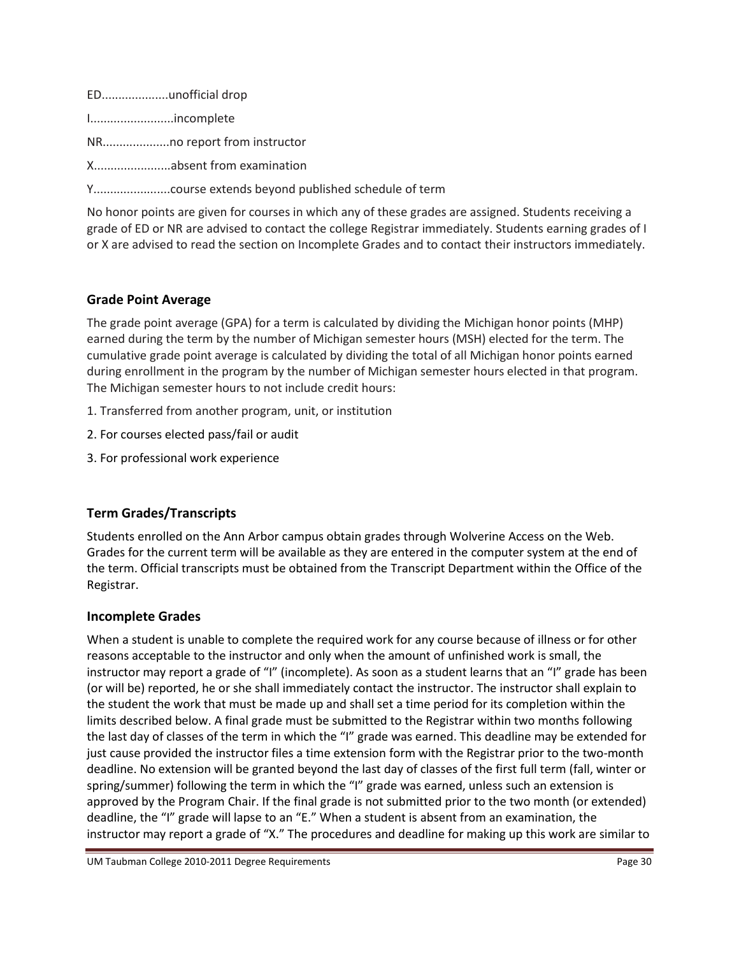ED....................unofficial drop

I.........................incomplete

NR....................no report from instructor

X.......................absent from examination

Y.......................course extends beyond published schedule of term

No honor points are given for courses in which any of these grades are assigned. Students receiving a grade of ED or NR are advised to contact the college Registrar immediately. Students earning grades of I or X are advised to read the section on Incomplete Grades and to contact their instructors immediately.

# **Grade Point Average**

The grade point average (GPA) for a term is calculated by dividing the Michigan honor points (MHP) earned during the term by the number of Michigan semester hours (MSH) elected for the term. The cumulative grade point average is calculated by dividing the total of all Michigan honor points earned during enrollment in the program by the number of Michigan semester hours elected in that program. The Michigan semester hours to not include credit hours:

- 1. Transferred from another program, unit, or institution
- 2. For courses elected pass/fail or audit
- 3. For professional work experience

# **Term Grades/Transcripts**

Students enrolled on the Ann Arbor campus obtain grades through Wolverine Access on the Web. Grades for the current term will be available as they are entered in the computer system at the end of the term. Official transcripts must be obtained from the Transcript Department within the Office of the Registrar.

## **Incomplete Grades**

When a student is unable to complete the required work for any course because of illness or for other reasons acceptable to the instructor and only when the amount of unfinished work is small, the instructor may report a grade of "I" (incomplete). As soon as a student learns that an "I" grade has been (or will be) reported, he or she shall immediately contact the instructor. The instructor shall explain to the student the work that must be made up and shall set a time period for its completion within the limits described below. A final grade must be submitted to the Registrar within two months following the last day of classes of the term in which the "I" grade was earned. This deadline may be extended for just cause provided the instructor files a time extension form with the Registrar prior to the two-month deadline. No extension will be granted beyond the last day of classes of the first full term (fall, winter or spring/summer) following the term in which the "I" grade was earned, unless such an extension is approved by the Program Chair. If the final grade is not submitted prior to the two month (or extended) deadline, the "I" grade will lapse to an "E." When a student is absent from an examination, the instructor may report a grade of "X." The procedures and deadline for making up this work are similar to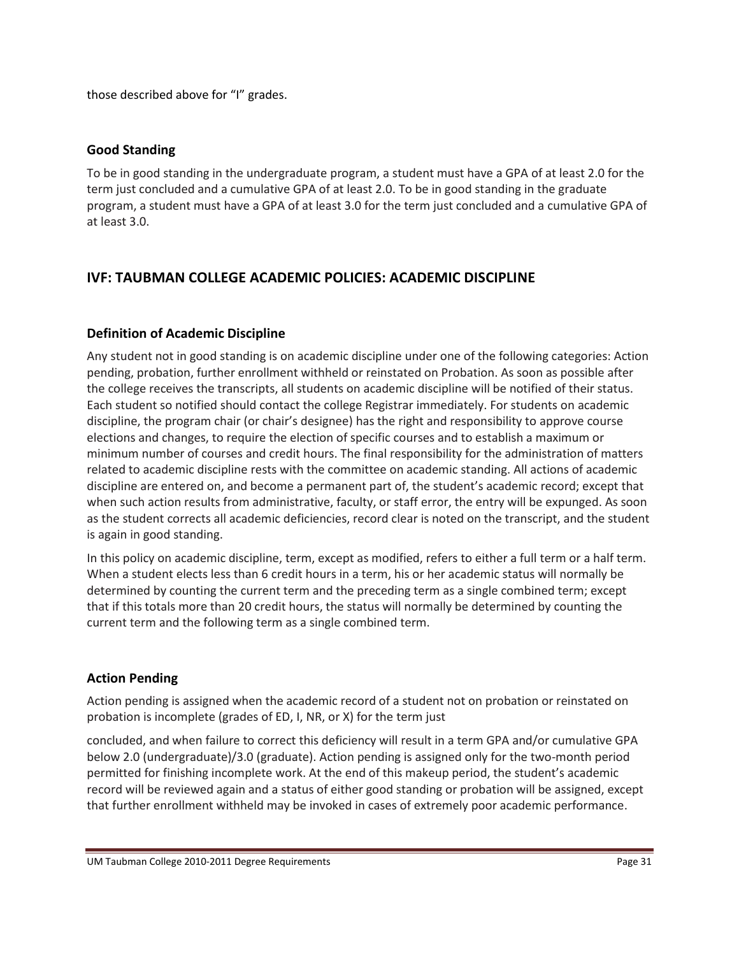those described above for "I" grades.

## **Good Standing**

To be in good standing in the undergraduate program, a student must have a GPA of at least 2.0 for the term just concluded and a cumulative GPA of at least 2.0. To be in good standing in the graduate program, a student must have a GPA of at least 3.0 for the term just concluded and a cumulative GPA of at least 3.0.

# **IVF: TAUBMAN COLLEGE ACADEMIC POLICIES: ACADEMIC DISCIPLINE**

# **Definition of Academic Discipline**

Any student not in good standing is on academic discipline under one of the following categories: Action pending, probation, further enrollment withheld or reinstated on Probation. As soon as possible after the college receives the transcripts, all students on academic discipline will be notified of their status. Each student so notified should contact the college Registrar immediately. For students on academic discipline, the program chair (or chair's designee) has the right and responsibility to approve course elections and changes, to require the election of specific courses and to establish a maximum or minimum number of courses and credit hours. The final responsibility for the administration of matters related to academic discipline rests with the committee on academic standing. All actions of academic discipline are entered on, and become a permanent part of, the student's academic record; except that when such action results from administrative, faculty, or staff error, the entry will be expunged. As soon as the student corrects all academic deficiencies, record clear is noted on the transcript, and the student is again in good standing.

In this policy on academic discipline, term, except as modified, refers to either a full term or a half term. When a student elects less than 6 credit hours in a term, his or her academic status will normally be determined by counting the current term and the preceding term as a single combined term; except that if this totals more than 20 credit hours, the status will normally be determined by counting the current term and the following term as a single combined term.

# **Action Pending**

Action pending is assigned when the academic record of a student not on probation or reinstated on probation is incomplete (grades of ED, I, NR, or X) for the term just

concluded, and when failure to correct this deficiency will result in a term GPA and/or cumulative GPA below 2.0 (undergraduate)/3.0 (graduate). Action pending is assigned only for the two-month period permitted for finishing incomplete work. At the end of this makeup period, the student's academic record will be reviewed again and a status of either good standing or probation will be assigned, except that further enrollment withheld may be invoked in cases of extremely poor academic performance.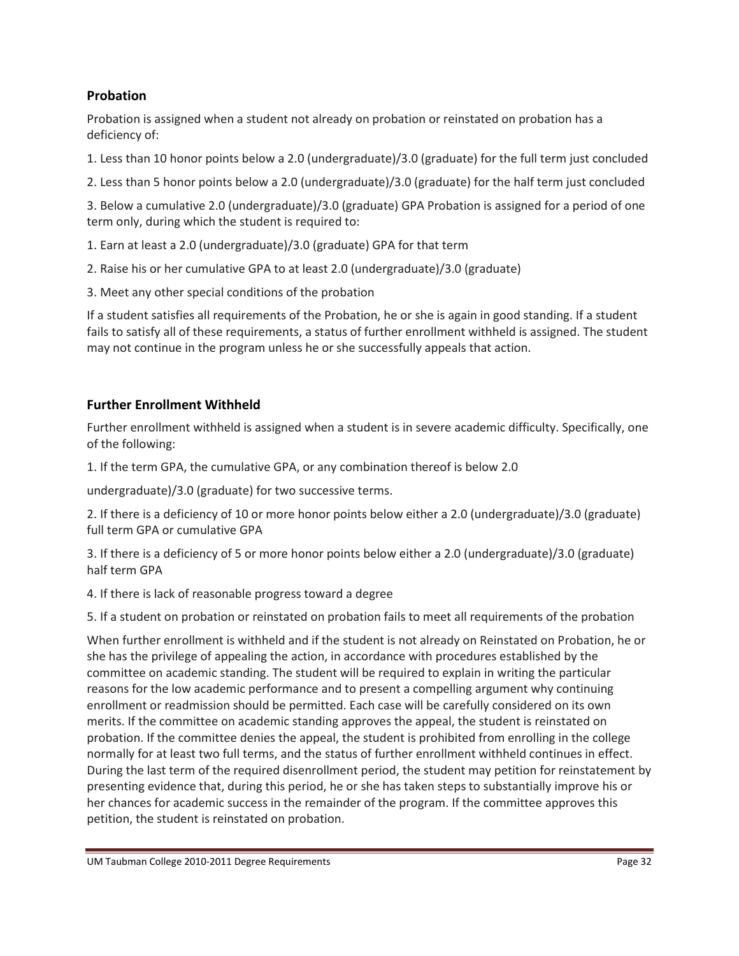# **Probation**

Probation is assigned when a student not already on probation or reinstated on probation has a deficiency of:

1. Less than 10 honor points below a 2.0 (undergraduate)/3.0 (graduate) for the full term just concluded

2. Less than 5 honor points below a 2.0 (undergraduate)/3.0 (graduate) for the half term just concluded

3. Below a cumulative 2.0 (undergraduate)/3.0 (graduate) GPA Probation is assigned for a period of one term only, during which the student is required to:

- 1. Earn at least a 2.0 (undergraduate)/3.0 (graduate) GPA for that term
- 2. Raise his or her cumulative GPA to at least 2.0 (undergraduate)/3.0 (graduate)
- 3. Meet any other special conditions of the probation

If a student satisfies all requirements of the Probation, he or she is again in good standing. If a student fails to satisfy all of these requirements, a status of further enrollment withheld is assigned. The student may not continue in the program unless he or she successfully appeals that action.

## **Further Enrollment Withheld**

Further enrollment withheld is assigned when a student is in severe academic difficulty. Specifically, one of the following:

1. If the term GPA, the cumulative GPA, or any combination thereof is below 2.0

undergraduate)/3.0 (graduate) for two successive terms.

2. If there is a deficiency of 10 or more honor points below either a 2.0 (undergraduate)/3.0 (graduate) full term GPA or cumulative GPA

3. If there is a deficiency of 5 or more honor points below either a 2.0 (undergraduate)/3.0 (graduate) half term GPA

4. If there is lack of reasonable progress toward a degree

5. If a student on probation or reinstated on probation fails to meet all requirements of the probation

When further enrollment is withheld and if the student is not already on Reinstated on Probation, he or she has the privilege of appealing the action, in accordance with procedures established by the committee on academic standing. The student will be required to explain in writing the particular reasons for the low academic performance and to present a compelling argument why continuing enrollment or readmission should be permitted. Each case will be carefully considered on its own merits. If the committee on academic standing approves the appeal, the student is reinstated on probation. If the committee denies the appeal, the student is prohibited from enrolling in the college normally for at least two full terms, and the status of further enrollment withheld continues in effect. During the last term of the required disenrollment period, the student may petition for reinstatement by presenting evidence that, during this period, he or she has taken steps to substantially improve his or her chances for academic success in the remainder of the program. If the committee approves this petition, the student is reinstated on probation.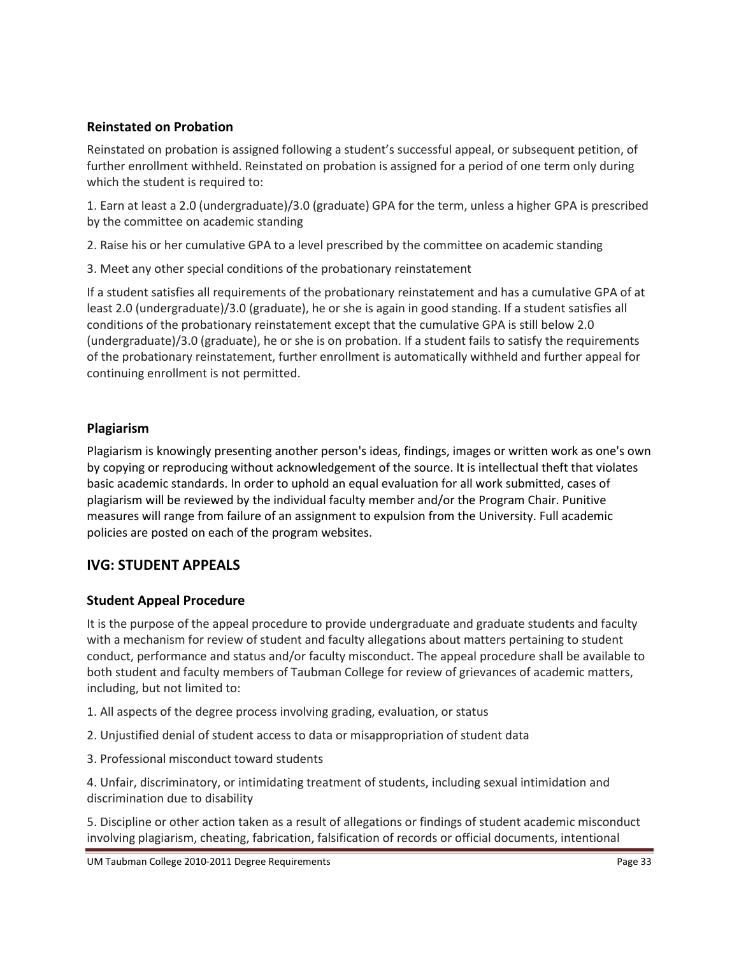# **Reinstated on Probation**

Reinstated on probation is assigned following a student's successful appeal, or subsequent petition, of further enrollment withheld. Reinstated on probation is assigned for a period of one term only during which the student is required to:

1. Earn at least a 2.0 (undergraduate)/3.0 (graduate) GPA for the term, unless a higher GPA is prescribed by the committee on academic standing

2. Raise his or her cumulative GPA to a level prescribed by the committee on academic standing

3. Meet any other special conditions of the probationary reinstatement

If a student satisfies all requirements of the probationary reinstatement and has a cumulative GPA of at least 2.0 (undergraduate)/3.0 (graduate), he or she is again in good standing. If a student satisfies all conditions of the probationary reinstatement except that the cumulative GPA is still below 2.0 (undergraduate)/3.0 (graduate), he or she is on probation. If a student fails to satisfy the requirements of the probationary reinstatement, further enrollment is automatically withheld and further appeal for continuing enrollment is not permitted.

# **Plagiarism**

Plagiarism is knowingly presenting another person's ideas, findings, images or written work as one's own by copying or reproducing without acknowledgement of the source. It is intellectual theft that violates basic academic standards. In order to uphold an equal evaluation for all work submitted, cases of plagiarism will be reviewed by the individual faculty member and/or the Program Chair. Punitive measures will range from failure of an assignment to expulsion from the University. Full academic policies are posted on each of the program websites.

# **IVG: STUDENT APPEALS**

## **Student Appeal Procedure**

It is the purpose of the appeal procedure to provide undergraduate and graduate students and faculty with a mechanism for review of student and faculty allegations about matters pertaining to student conduct, performance and status and/or faculty misconduct. The appeal procedure shall be available to both student and faculty members of Taubman College for review of grievances of academic matters, including, but not limited to:

- 1. All aspects of the degree process involving grading, evaluation, or status
- 2. Unjustified denial of student access to data or misappropriation of student data
- 3. Professional misconduct toward students

4. Unfair, discriminatory, or intimidating treatment of students, including sexual intimidation and discrimination due to disability

5. Discipline or other action taken as a result of allegations or findings of student academic misconduct involving plagiarism, cheating, fabrication, falsification of records or official documents, intentional